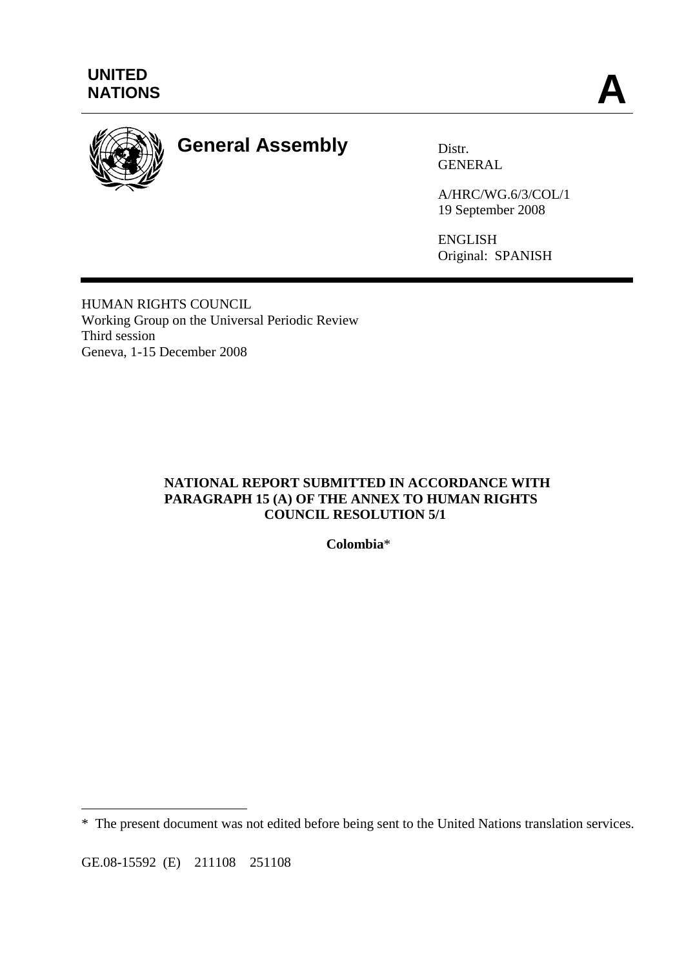

# **General Assembly** Distr.

GENERAL

A/HRC/WG.6/3/COL/1 19 September 2008

ENGLISH Original: SPANISH

HUMAN RIGHTS COUNCIL Working Group on the Universal Periodic Review Third session Geneva, 1-15 December 2008

## **NATIONAL REPORT SUBMITTED IN ACCORDANCE WITH PARAGRAPH 15 (A) OF THE ANNEX TO HUMAN RIGHTS COUNCIL RESOLUTION 5/1**

**Colombia**\*

GE.08-15592 (E) 211108 251108

 $\overline{a}$ 

<sup>\*</sup> The present document was not edited before being sent to the United Nations translation services.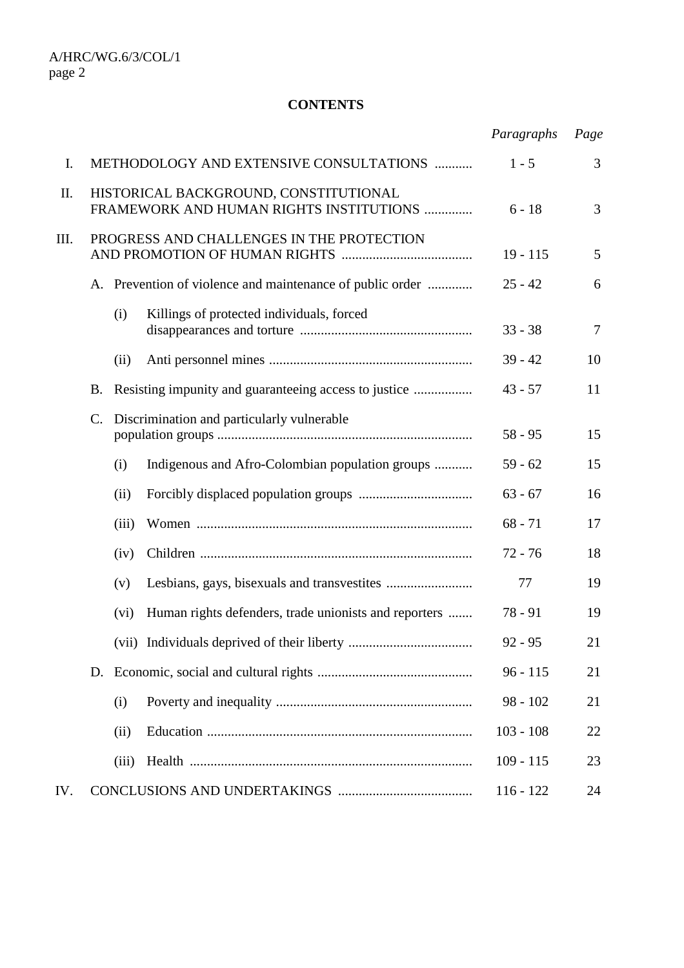#### **CONTENTS**

|      |                |                                                                                  |                                                           | Paragraphs  | Page           |
|------|----------------|----------------------------------------------------------------------------------|-----------------------------------------------------------|-------------|----------------|
| I.   |                |                                                                                  | METHODOLOGY AND EXTENSIVE CONSULTATIONS                   | $1 - 5$     | 3              |
| Π.   |                | HISTORICAL BACKGROUND, CONSTITUTIONAL<br>FRAMEWORK AND HUMAN RIGHTS INSTITUTIONS |                                                           |             | 3              |
| III. |                | PROGRESS AND CHALLENGES IN THE PROTECTION                                        |                                                           |             | 5              |
|      |                |                                                                                  | A. Prevention of violence and maintenance of public order | $25 - 42$   | 6              |
|      |                | (i)                                                                              | Killings of protected individuals, forced                 | $33 - 38$   | $\overline{7}$ |
|      |                | (ii)                                                                             |                                                           | $39 - 42$   | 10             |
|      | <b>B.</b>      |                                                                                  |                                                           | $43 - 57$   | 11             |
|      | $\mathbf{C}$ . |                                                                                  | Discrimination and particularly vulnerable                | $58 - 95$   | 15             |
|      |                | (i)                                                                              | Indigenous and Afro-Colombian population groups           | $59 - 62$   | 15             |
|      |                | (ii)                                                                             |                                                           | $63 - 67$   | 16             |
|      |                | (iii)                                                                            |                                                           | $68 - 71$   | 17             |
|      |                | (iv)                                                                             |                                                           | $72 - 76$   | 18             |
|      |                | (v)                                                                              |                                                           | 77          | 19             |
|      |                | (vi)                                                                             | Human rights defenders, trade unionists and reporters     | $78 - 91$   | 19             |
|      |                |                                                                                  |                                                           | $92 - 95$   | 21             |
|      |                | D.                                                                               |                                                           | $96 - 115$  | 21             |
|      |                | (i)                                                                              |                                                           | $98 - 102$  | 21             |
|      |                | (ii)                                                                             |                                                           | $103 - 108$ | 22             |
|      |                | (iii)                                                                            |                                                           | $109 - 115$ | 23             |
| IV.  |                |                                                                                  |                                                           | $116 - 122$ | 24             |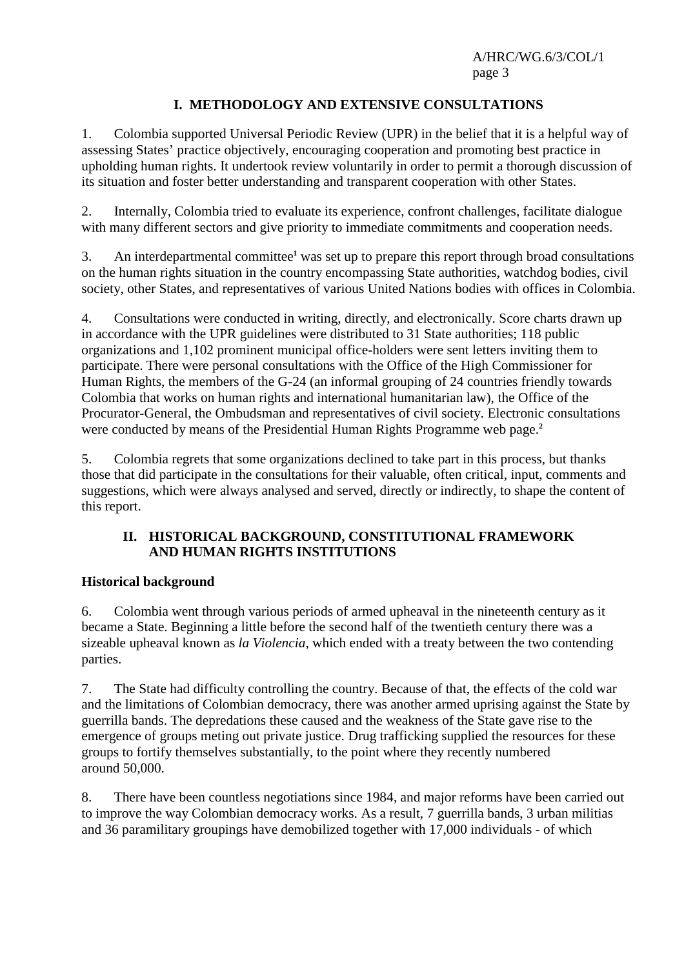# **I. METHODOLOGY AND EXTENSIVE CONSULTATIONS**

1. Colombia supported Universal Periodic Review (UPR) in the belief that it is a helpful way of assessing States' practice objectively, encouraging cooperation and promoting best practice in upholding human rights. It undertook review voluntarily in order to permit a thorough discussion of its situation and foster better understanding and transparent cooperation with other States.

2. Internally, Colombia tried to evaluate its experience, confront challenges, facilitate dialogue with many different sectors and give priority to immediate commitments and cooperation needs.

3. An interdepartmental committee**<sup>1</sup>** was set up to prepare this report through broad consultations on the human rights situation in the country encompassing State authorities, watchdog bodies, civil society, other States, and representatives of various United Nations bodies with offices in Colombia.

4. Consultations were conducted in writing, directly, and electronically. Score charts drawn up in accordance with the UPR guidelines were distributed to 31 State authorities; 118 public organizations and 1,102 prominent municipal office-holders were sent letters inviting them to participate. There were personal consultations with the Office of the High Commissioner for Human Rights, the members of the G-24 (an informal grouping of 24 countries friendly towards Colombia that works on human rights and international humanitarian law), the Office of the Procurator-General, the Ombudsman and representatives of civil society. Electronic consultations were conducted by means of the Presidential Human Rights Programme web page.**<sup>2</sup>**

5. Colombia regrets that some organizations declined to take part in this process, but thanks those that did participate in the consultations for their valuable, often critical, input, comments and suggestions, which were always analysed and served, directly or indirectly, to shape the content of this report.

#### **II. HISTORICAL BACKGROUND, CONSTITUTIONAL FRAMEWORK AND HUMAN RIGHTS INSTITUTIONS**

#### **Historical background**

6. Colombia went through various periods of armed upheaval in the nineteenth century as it became a State. Beginning a little before the second half of the twentieth century there was a sizeable upheaval known as *la Violencia*, which ended with a treaty between the two contending parties.

7. The State had difficulty controlling the country. Because of that, the effects of the cold war and the limitations of Colombian democracy, there was another armed uprising against the State by guerrilla bands. The depredations these caused and the weakness of the State gave rise to the emergence of groups meting out private justice. Drug trafficking supplied the resources for these groups to fortify themselves substantially, to the point where they recently numbered around 50,000.

8. There have been countless negotiations since 1984, and major reforms have been carried out to improve the way Colombian democracy works. As a result, 7 guerrilla bands, 3 urban militias and 36 paramilitary groupings have demobilized together with 17,000 individuals - of which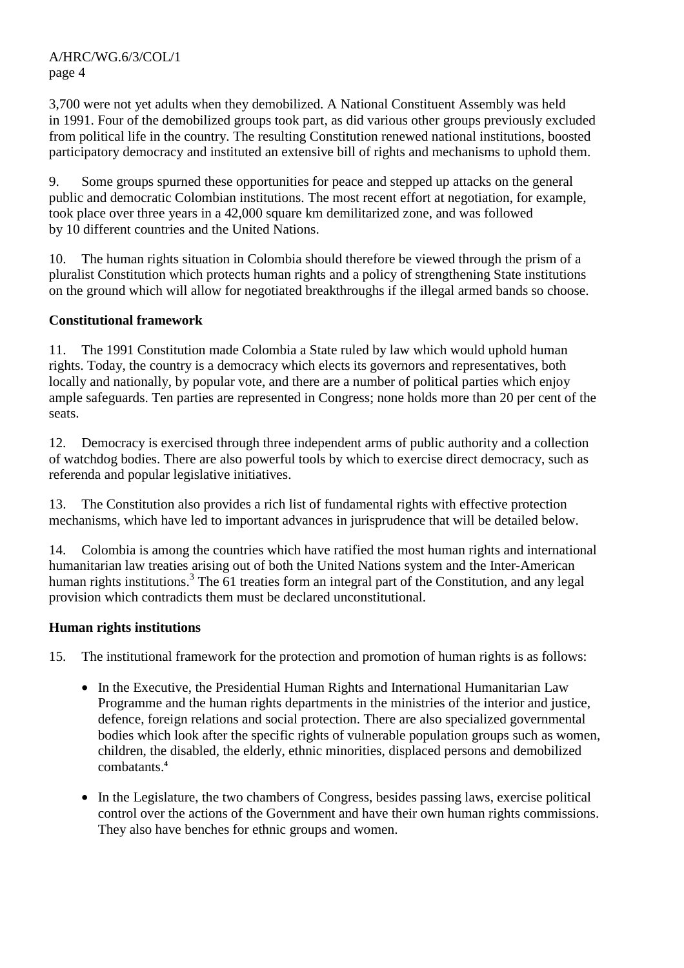3,700 were not yet adults when they demobilized. A National Constituent Assembly was held in 1991. Four of the demobilized groups took part, as did various other groups previously excluded from political life in the country. The resulting Constitution renewed national institutions, boosted participatory democracy and instituted an extensive bill of rights and mechanisms to uphold them.

9. Some groups spurned these opportunities for peace and stepped up attacks on the general public and democratic Colombian institutions. The most recent effort at negotiation, for example, took place over three years in a 42,000 square km demilitarized zone, and was followed by 10 different countries and the United Nations.

10. The human rights situation in Colombia should therefore be viewed through the prism of a pluralist Constitution which protects human rights and a policy of strengthening State institutions on the ground which will allow for negotiated breakthroughs if the illegal armed bands so choose.

## **Constitutional framework**

11. The 1991 Constitution made Colombia a State ruled by law which would uphold human rights. Today, the country is a democracy which elects its governors and representatives, both locally and nationally, by popular vote, and there are a number of political parties which enjoy ample safeguards. Ten parties are represented in Congress; none holds more than 20 per cent of the seats.

12. Democracy is exercised through three independent arms of public authority and a collection of watchdog bodies. There are also powerful tools by which to exercise direct democracy, such as referenda and popular legislative initiatives.

13. The Constitution also provides a rich list of fundamental rights with effective protection mechanisms, which have led to important advances in jurisprudence that will be detailed below.

14. Colombia is among the countries which have ratified the most human rights and international humanitarian law treaties arising out of both the United Nations system and the Inter-American human rights institutions.<sup>3</sup> The 61 treaties form an integral part of the Constitution, and any legal provision which contradicts them must be declared unconstitutional.

#### **Human rights institutions**

15. The institutional framework for the protection and promotion of human rights is as follows:

- In the Executive, the Presidential Human Rights and International Humanitarian Law Programme and the human rights departments in the ministries of the interior and justice, defence, foreign relations and social protection. There are also specialized governmental bodies which look after the specific rights of vulnerable population groups such as women, children, the disabled, the elderly, ethnic minorities, displaced persons and demobilized combatants.**<sup>4</sup>**
- In the Legislature, the two chambers of Congress, besides passing laws, exercise political control over the actions of the Government and have their own human rights commissions. They also have benches for ethnic groups and women.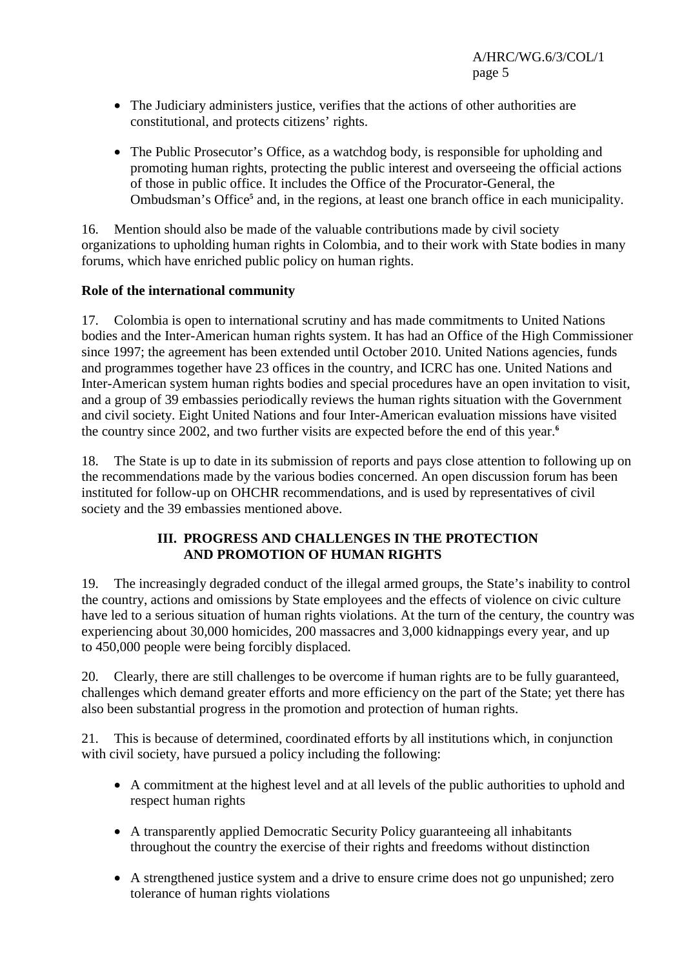- The Judiciary administers justice, verifies that the actions of other authorities are constitutional, and protects citizens' rights.
- The Public Prosecutor's Office, as a watchdog body, is responsible for upholding and promoting human rights, protecting the public interest and overseeing the official actions of those in public office. It includes the Office of the Procurator-General, the Ombudsman's Office<sup>5</sup> and, in the regions, at least one branch office in each municipality.

16. Mention should also be made of the valuable contributions made by civil society organizations to upholding human rights in Colombia, and to their work with State bodies in many forums, which have enriched public policy on human rights.

## **Role of the international community**

17. Colombia is open to international scrutiny and has made commitments to United Nations bodies and the Inter-American human rights system. It has had an Office of the High Commissioner since 1997; the agreement has been extended until October 2010. United Nations agencies, funds and programmes together have 23 offices in the country, and ICRC has one. United Nations and Inter-American system human rights bodies and special procedures have an open invitation to visit, and a group of 39 embassies periodically reviews the human rights situation with the Government and civil society. Eight United Nations and four Inter-American evaluation missions have visited the country since 2002, and two further visits are expected before the end of this year.**<sup>6</sup>**

18. The State is up to date in its submission of reports and pays close attention to following up on the recommendations made by the various bodies concerned. An open discussion forum has been instituted for follow-up on OHCHR recommendations, and is used by representatives of civil society and the 39 embassies mentioned above.

#### **III. PROGRESS AND CHALLENGES IN THE PROTECTION AND PROMOTION OF HUMAN RIGHTS**

19. The increasingly degraded conduct of the illegal armed groups, the State's inability to control the country, actions and omissions by State employees and the effects of violence on civic culture have led to a serious situation of human rights violations. At the turn of the century, the country was experiencing about 30,000 homicides, 200 massacres and 3,000 kidnappings every year, and up to 450,000 people were being forcibly displaced.

20. Clearly, there are still challenges to be overcome if human rights are to be fully guaranteed, challenges which demand greater efforts and more efficiency on the part of the State; yet there has also been substantial progress in the promotion and protection of human rights.

21. This is because of determined, coordinated efforts by all institutions which, in conjunction with civil society, have pursued a policy including the following:

- A commitment at the highest level and at all levels of the public authorities to uphold and respect human rights
- A transparently applied Democratic Security Policy guaranteeing all inhabitants throughout the country the exercise of their rights and freedoms without distinction
- A strengthened justice system and a drive to ensure crime does not go unpunished; zero tolerance of human rights violations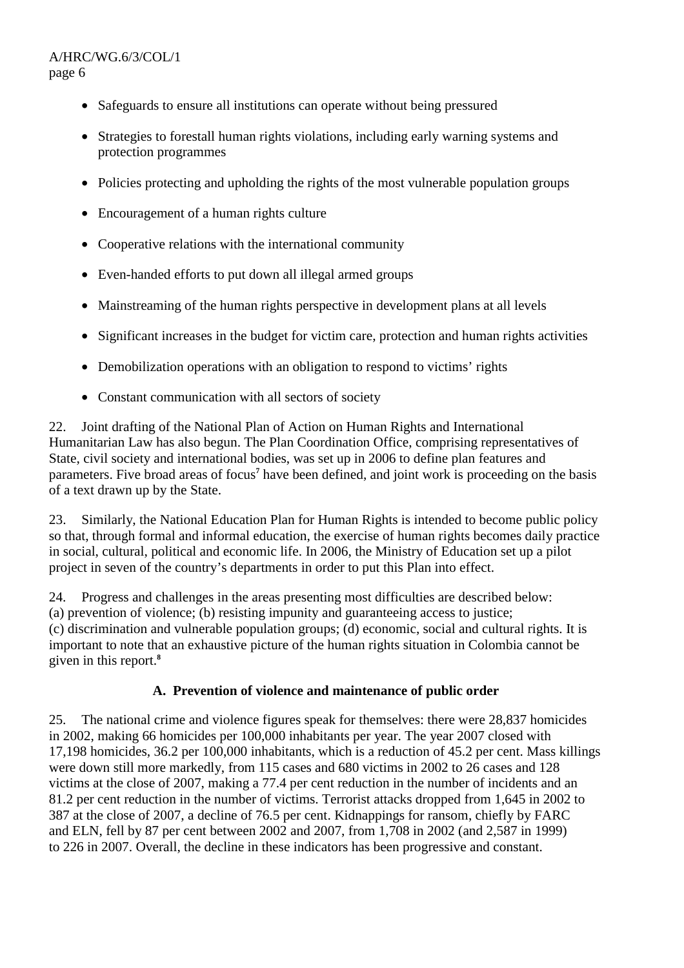- Safeguards to ensure all institutions can operate without being pressured
- Strategies to forestall human rights violations, including early warning systems and protection programmes
- Policies protecting and upholding the rights of the most vulnerable population groups
- Encouragement of a human rights culture
- Cooperative relations with the international community
- Even-handed efforts to put down all illegal armed groups
- Mainstreaming of the human rights perspective in development plans at all levels
- Significant increases in the budget for victim care, protection and human rights activities
- Demobilization operations with an obligation to respond to victims' rights
- Constant communication with all sectors of society

22. Joint drafting of the National Plan of Action on Human Rights and International Humanitarian Law has also begun. The Plan Coordination Office, comprising representatives of State, civil society and international bodies, was set up in 2006 to define plan features and parameters. Five broad areas of focus<sup>7</sup> have been defined, and joint work is proceeding on the basis of a text drawn up by the State.

23. Similarly, the National Education Plan for Human Rights is intended to become public policy so that, through formal and informal education, the exercise of human rights becomes daily practice in social, cultural, political and economic life. In 2006, the Ministry of Education set up a pilot project in seven of the country's departments in order to put this Plan into effect.

24. Progress and challenges in the areas presenting most difficulties are described below: (a) prevention of violence; (b) resisting impunity and guaranteeing access to justice; (c) discrimination and vulnerable population groups; (d) economic, social and cultural rights. It is important to note that an exhaustive picture of the human rights situation in Colombia cannot be given in this report.**<sup>8</sup>**

#### **A. Prevention of violence and maintenance of public order**

25. The national crime and violence figures speak for themselves: there were 28,837 homicides in 2002, making 66 homicides per 100,000 inhabitants per year. The year 2007 closed with 17,198 homicides, 36.2 per 100,000 inhabitants, which is a reduction of 45.2 per cent. Mass killings were down still more markedly, from 115 cases and 680 victims in 2002 to 26 cases and 128 victims at the close of 2007, making a 77.4 per cent reduction in the number of incidents and an 81.2 per cent reduction in the number of victims. Terrorist attacks dropped from 1,645 in 2002 to 387 at the close of 2007, a decline of 76.5 per cent. Kidnappings for ransom, chiefly by FARC and ELN, fell by 87 per cent between 2002 and 2007, from 1,708 in 2002 (and 2,587 in 1999) to 226 in 2007. Overall, the decline in these indicators has been progressive and constant.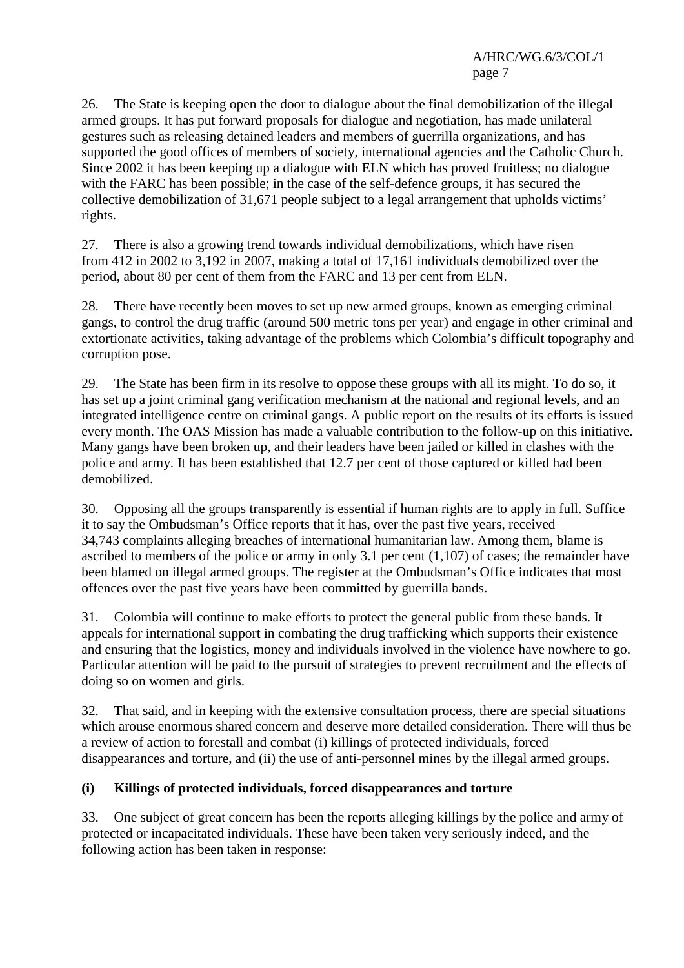26. The State is keeping open the door to dialogue about the final demobilization of the illegal armed groups. It has put forward proposals for dialogue and negotiation, has made unilateral gestures such as releasing detained leaders and members of guerrilla organizations, and has supported the good offices of members of society, international agencies and the Catholic Church. Since 2002 it has been keeping up a dialogue with ELN which has proved fruitless; no dialogue with the FARC has been possible; in the case of the self-defence groups, it has secured the collective demobilization of 31,671 people subject to a legal arrangement that upholds victims' rights.

27. There is also a growing trend towards individual demobilizations, which have risen from 412 in 2002 to 3,192 in 2007, making a total of 17,161 individuals demobilized over the period, about 80 per cent of them from the FARC and 13 per cent from ELN.

28. There have recently been moves to set up new armed groups, known as emerging criminal gangs, to control the drug traffic (around 500 metric tons per year) and engage in other criminal and extortionate activities, taking advantage of the problems which Colombia's difficult topography and corruption pose.

29. The State has been firm in its resolve to oppose these groups with all its might. To do so, it has set up a joint criminal gang verification mechanism at the national and regional levels, and an integrated intelligence centre on criminal gangs. A public report on the results of its efforts is issued every month. The OAS Mission has made a valuable contribution to the follow-up on this initiative. Many gangs have been broken up, and their leaders have been jailed or killed in clashes with the police and army. It has been established that 12.7 per cent of those captured or killed had been demobilized.

30. Opposing all the groups transparently is essential if human rights are to apply in full. Suffice it to say the Ombudsman's Office reports that it has, over the past five years, received 34,743 complaints alleging breaches of international humanitarian law. Among them, blame is ascribed to members of the police or army in only 3.1 per cent (1,107) of cases; the remainder have been blamed on illegal armed groups. The register at the Ombudsman's Office indicates that most offences over the past five years have been committed by guerrilla bands.

31. Colombia will continue to make efforts to protect the general public from these bands. It appeals for international support in combating the drug trafficking which supports their existence and ensuring that the logistics, money and individuals involved in the violence have nowhere to go. Particular attention will be paid to the pursuit of strategies to prevent recruitment and the effects of doing so on women and girls.

32. That said, and in keeping with the extensive consultation process, there are special situations which arouse enormous shared concern and deserve more detailed consideration. There will thus be a review of action to forestall and combat (i) killings of protected individuals, forced disappearances and torture, and (ii) the use of anti-personnel mines by the illegal armed groups.

#### **(i) Killings of protected individuals, forced disappearances and torture**

33. One subject of great concern has been the reports alleging killings by the police and army of protected or incapacitated individuals. These have been taken very seriously indeed, and the following action has been taken in response: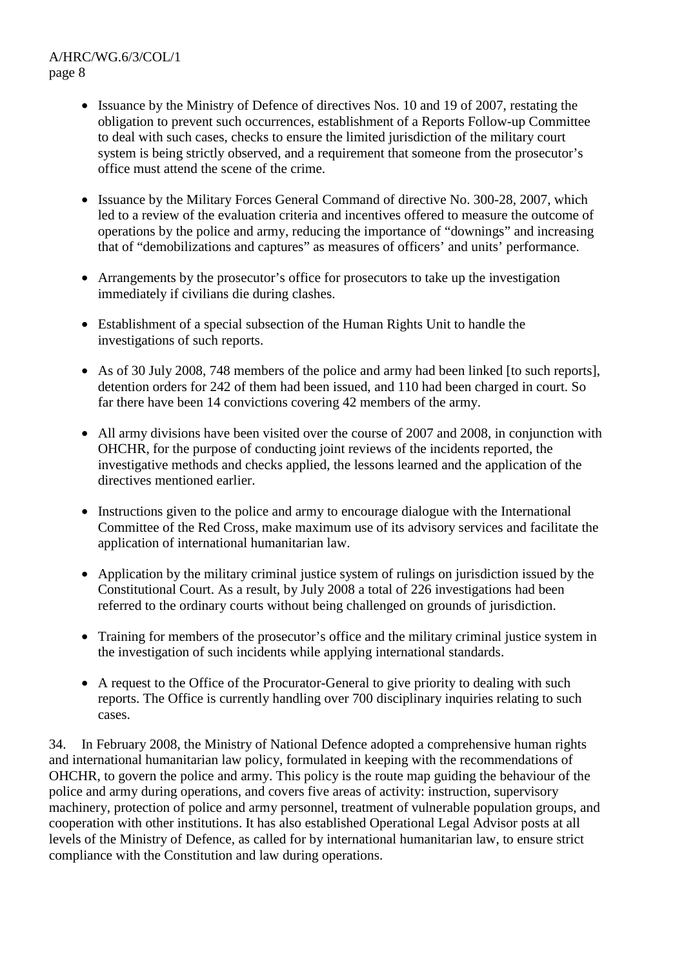- Issuance by the Ministry of Defence of directives Nos. 10 and 19 of 2007, restating the obligation to prevent such occurrences, establishment of a Reports Follow-up Committee to deal with such cases, checks to ensure the limited jurisdiction of the military court system is being strictly observed, and a requirement that someone from the prosecutor's office must attend the scene of the crime.
- Issuance by the Military Forces General Command of directive No. 300-28, 2007, which led to a review of the evaluation criteria and incentives offered to measure the outcome of operations by the police and army, reducing the importance of "downings" and increasing that of "demobilizations and captures" as measures of officers' and units' performance.
- Arrangements by the prosecutor's office for prosecutors to take up the investigation immediately if civilians die during clashes.
- Establishment of a special subsection of the Human Rights Unit to handle the investigations of such reports.
- As of 30 July 2008, 748 members of the police and army had been linked [to such reports], detention orders for 242 of them had been issued, and 110 had been charged in court. So far there have been 14 convictions covering 42 members of the army.
- All army divisions have been visited over the course of 2007 and 2008, in conjunction with OHCHR, for the purpose of conducting joint reviews of the incidents reported, the investigative methods and checks applied, the lessons learned and the application of the directives mentioned earlier.
- Instructions given to the police and army to encourage dialogue with the International Committee of the Red Cross, make maximum use of its advisory services and facilitate the application of international humanitarian law.
- Application by the military criminal justice system of rulings on jurisdiction issued by the Constitutional Court. As a result, by July 2008 a total of 226 investigations had been referred to the ordinary courts without being challenged on grounds of jurisdiction.
- Training for members of the prosecutor's office and the military criminal justice system in the investigation of such incidents while applying international standards.
- A request to the Office of the Procurator-General to give priority to dealing with such reports. The Office is currently handling over 700 disciplinary inquiries relating to such cases.

34. In February 2008, the Ministry of National Defence adopted a comprehensive human rights and international humanitarian law policy, formulated in keeping with the recommendations of OHCHR, to govern the police and army. This policy is the route map guiding the behaviour of the police and army during operations, and covers five areas of activity: instruction, supervisory machinery, protection of police and army personnel, treatment of vulnerable population groups, and cooperation with other institutions. It has also established Operational Legal Advisor posts at all levels of the Ministry of Defence, as called for by international humanitarian law, to ensure strict compliance with the Constitution and law during operations.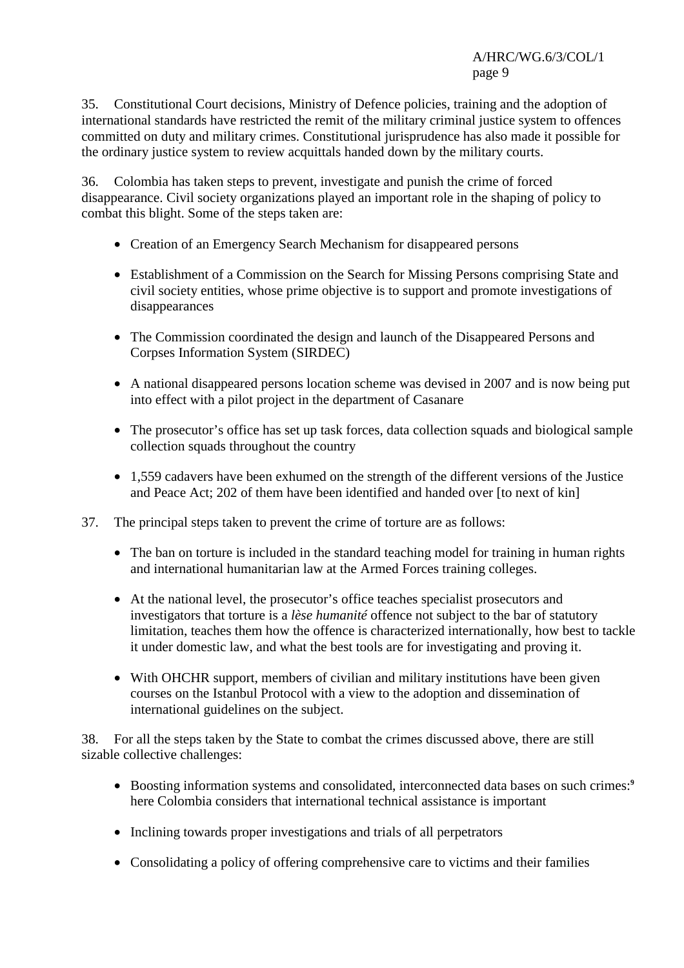35. Constitutional Court decisions, Ministry of Defence policies, training and the adoption of international standards have restricted the remit of the military criminal justice system to offences committed on duty and military crimes. Constitutional jurisprudence has also made it possible for the ordinary justice system to review acquittals handed down by the military courts.

36. Colombia has taken steps to prevent, investigate and punish the crime of forced disappearance. Civil society organizations played an important role in the shaping of policy to combat this blight. Some of the steps taken are:

- Creation of an Emergency Search Mechanism for disappeared persons
- Establishment of a Commission on the Search for Missing Persons comprising State and civil society entities, whose prime objective is to support and promote investigations of disappearances
- The Commission coordinated the design and launch of the Disappeared Persons and Corpses Information System (SIRDEC)
- A national disappeared persons location scheme was devised in 2007 and is now being put into effect with a pilot project in the department of Casanare
- The prosecutor's office has set up task forces, data collection squads and biological sample collection squads throughout the country
- 1,559 cadavers have been exhumed on the strength of the different versions of the Justice and Peace Act; 202 of them have been identified and handed over [to next of kin]
- 37. The principal steps taken to prevent the crime of torture are as follows:
	- The ban on torture is included in the standard teaching model for training in human rights and international humanitarian law at the Armed Forces training colleges.
	- At the national level, the prosecutor's office teaches specialist prosecutors and investigators that torture is a *lèse humanité* offence not subject to the bar of statutory limitation, teaches them how the offence is characterized internationally, how best to tackle it under domestic law, and what the best tools are for investigating and proving it.
	- With OHCHR support, members of civilian and military institutions have been given courses on the Istanbul Protocol with a view to the adoption and dissemination of international guidelines on the subject.

38. For all the steps taken by the State to combat the crimes discussed above, there are still sizable collective challenges:

- Boosting information systems and consolidated, interconnected data bases on such crimes:**<sup>9</sup>** here Colombia considers that international technical assistance is important
- Inclining towards proper investigations and trials of all perpetrators
- Consolidating a policy of offering comprehensive care to victims and their families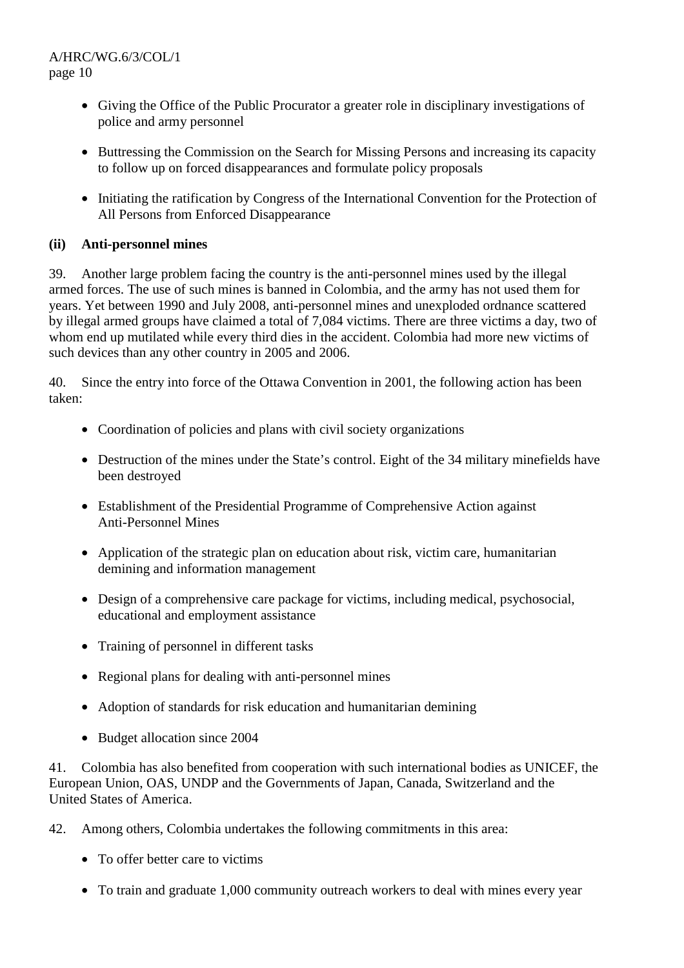- Giving the Office of the Public Procurator a greater role in disciplinary investigations of police and army personnel
- Buttressing the Commission on the Search for Missing Persons and increasing its capacity to follow up on forced disappearances and formulate policy proposals
- Initiating the ratification by Congress of the International Convention for the Protection of All Persons from Enforced Disappearance

# **(ii) Anti-personnel mines**

39. Another large problem facing the country is the anti-personnel mines used by the illegal armed forces. The use of such mines is banned in Colombia, and the army has not used them for years. Yet between 1990 and July 2008, anti-personnel mines and unexploded ordnance scattered by illegal armed groups have claimed a total of 7,084 victims. There are three victims a day, two of whom end up mutilated while every third dies in the accident. Colombia had more new victims of such devices than any other country in 2005 and 2006.

40. Since the entry into force of the Ottawa Convention in 2001, the following action has been taken:

- Coordination of policies and plans with civil society organizations
- Destruction of the mines under the State's control. Eight of the 34 military minefields have been destroyed
- Establishment of the Presidential Programme of Comprehensive Action against Anti-Personnel Mines
- Application of the strategic plan on education about risk, victim care, humanitarian demining and information management
- Design of a comprehensive care package for victims, including medical, psychosocial, educational and employment assistance
- Training of personnel in different tasks
- Regional plans for dealing with anti-personnel mines
- Adoption of standards for risk education and humanitarian demining
- Budget allocation since 2004

41. Colombia has also benefited from cooperation with such international bodies as UNICEF, the European Union, OAS, UNDP and the Governments of Japan, Canada, Switzerland and the United States of America.

- 42. Among others, Colombia undertakes the following commitments in this area:
	- To offer better care to victims
	- To train and graduate 1,000 community outreach workers to deal with mines every year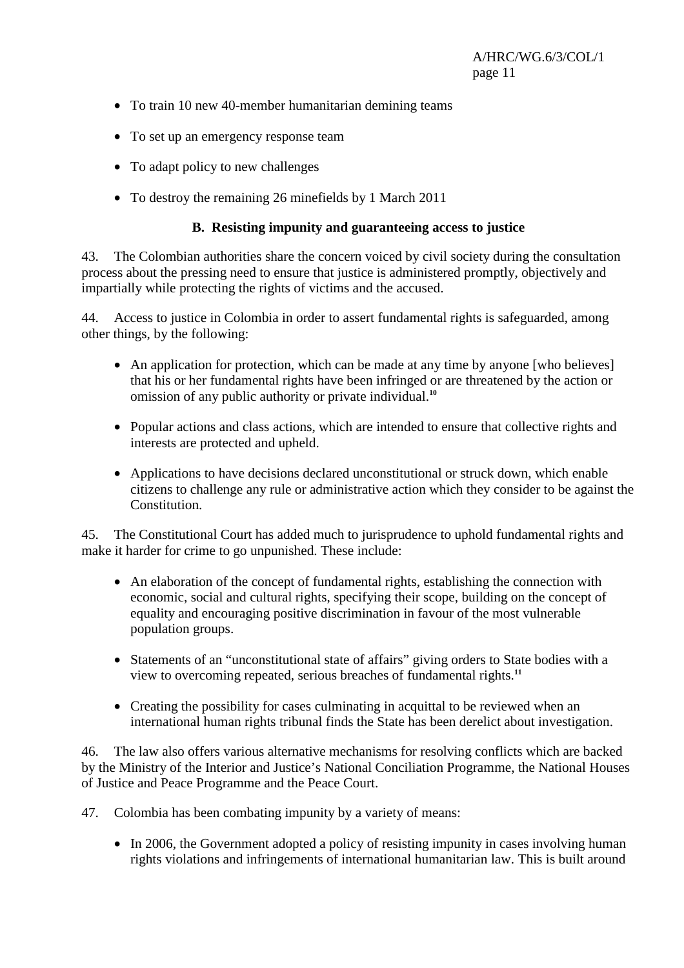- To train 10 new 40-member humanitarian demining teams
- To set up an emergency response team
- To adapt policy to new challenges
- To destroy the remaining 26 minefields by 1 March 2011

#### **B. Resisting impunity and guaranteeing access to justice**

43. The Colombian authorities share the concern voiced by civil society during the consultation process about the pressing need to ensure that justice is administered promptly, objectively and impartially while protecting the rights of victims and the accused.

44. Access to justice in Colombia in order to assert fundamental rights is safeguarded, among other things, by the following:

- An application for protection, which can be made at any time by anyone [who believes] that his or her fundamental rights have been infringed or are threatened by the action or omission of any public authority or private individual.**<sup>10</sup>**
- Popular actions and class actions, which are intended to ensure that collective rights and interests are protected and upheld.
- Applications to have decisions declared unconstitutional or struck down, which enable citizens to challenge any rule or administrative action which they consider to be against the **Constitution**

45. The Constitutional Court has added much to jurisprudence to uphold fundamental rights and make it harder for crime to go unpunished. These include:

- An elaboration of the concept of fundamental rights, establishing the connection with economic, social and cultural rights, specifying their scope, building on the concept of equality and encouraging positive discrimination in favour of the most vulnerable population groups.
- Statements of an "unconstitutional state of affairs" giving orders to State bodies with a view to overcoming repeated, serious breaches of fundamental rights.**<sup>11</sup>**
- Creating the possibility for cases culminating in acquittal to be reviewed when an international human rights tribunal finds the State has been derelict about investigation.

46. The law also offers various alternative mechanisms for resolving conflicts which are backed by the Ministry of the Interior and Justice's National Conciliation Programme, the National Houses of Justice and Peace Programme and the Peace Court.

- 47. Colombia has been combating impunity by a variety of means:
	- In 2006, the Government adopted a policy of resisting impunity in cases involving human rights violations and infringements of international humanitarian law. This is built around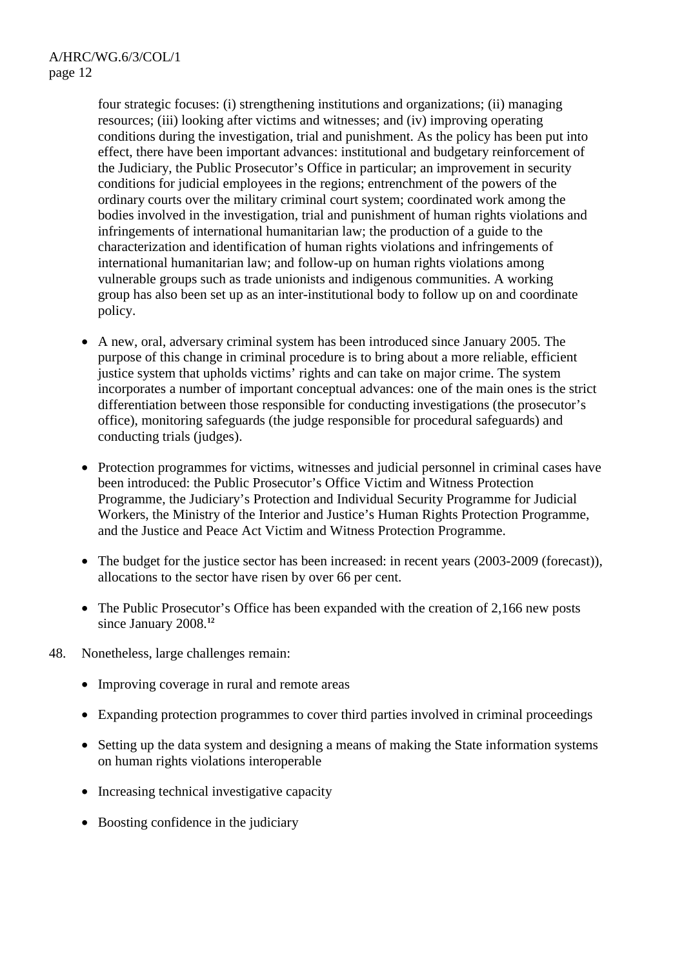four strategic focuses: (i) strengthening institutions and organizations; (ii) managing resources; (iii) looking after victims and witnesses; and (iv) improving operating conditions during the investigation, trial and punishment. As the policy has been put into effect, there have been important advances: institutional and budgetary reinforcement of the Judiciary, the Public Prosecutor's Office in particular; an improvement in security conditions for judicial employees in the regions; entrenchment of the powers of the ordinary courts over the military criminal court system; coordinated work among the bodies involved in the investigation, trial and punishment of human rights violations and infringements of international humanitarian law; the production of a guide to the characterization and identification of human rights violations and infringements of international humanitarian law; and follow-up on human rights violations among vulnerable groups such as trade unionists and indigenous communities. A working group has also been set up as an inter-institutional body to follow up on and coordinate policy.

- A new, oral, adversary criminal system has been introduced since January 2005. The purpose of this change in criminal procedure is to bring about a more reliable, efficient justice system that upholds victims' rights and can take on major crime. The system incorporates a number of important conceptual advances: one of the main ones is the strict differentiation between those responsible for conducting investigations (the prosecutor's office), monitoring safeguards (the judge responsible for procedural safeguards) and conducting trials (judges).
- Protection programmes for victims, witnesses and judicial personnel in criminal cases have been introduced: the Public Prosecutor's Office Victim and Witness Protection Programme, the Judiciary's Protection and Individual Security Programme for Judicial Workers, the Ministry of the Interior and Justice's Human Rights Protection Programme, and the Justice and Peace Act Victim and Witness Protection Programme.
- The budget for the justice sector has been increased: in recent years (2003-2009 (forecast)), allocations to the sector have risen by over 66 per cent.
- The Public Prosecutor's Office has been expanded with the creation of 2,166 new posts since January 2008.**<sup>12</sup>**
- 48. Nonetheless, large challenges remain:
	- Improving coverage in rural and remote areas
	- Expanding protection programmes to cover third parties involved in criminal proceedings
	- Setting up the data system and designing a means of making the State information systems on human rights violations interoperable
	- Increasing technical investigative capacity
	- Boosting confidence in the judiciary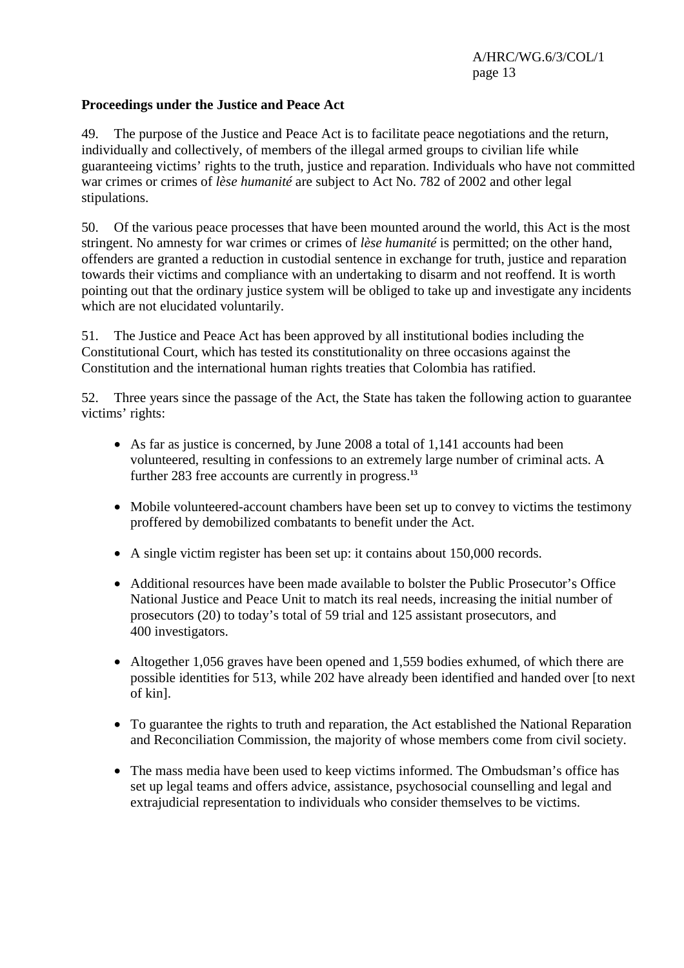#### **Proceedings under the Justice and Peace Act**

49. The purpose of the Justice and Peace Act is to facilitate peace negotiations and the return, individually and collectively, of members of the illegal armed groups to civilian life while guaranteeing victims' rights to the truth, justice and reparation. Individuals who have not committed war crimes or crimes of *lèse humanité* are subject to Act No. 782 of 2002 and other legal stipulations.

50. Of the various peace processes that have been mounted around the world, this Act is the most stringent. No amnesty for war crimes or crimes of *lèse humanité* is permitted; on the other hand, offenders are granted a reduction in custodial sentence in exchange for truth, justice and reparation towards their victims and compliance with an undertaking to disarm and not reoffend. It is worth pointing out that the ordinary justice system will be obliged to take up and investigate any incidents which are not elucidated voluntarily.

51. The Justice and Peace Act has been approved by all institutional bodies including the Constitutional Court, which has tested its constitutionality on three occasions against the Constitution and the international human rights treaties that Colombia has ratified.

52. Three years since the passage of the Act, the State has taken the following action to guarantee victims' rights:

- As far as justice is concerned, by June 2008 a total of 1,141 accounts had been volunteered, resulting in confessions to an extremely large number of criminal acts. A further 283 free accounts are currently in progress.**<sup>13</sup>**
- Mobile volunteered-account chambers have been set up to convey to victims the testimony proffered by demobilized combatants to benefit under the Act.
- A single victim register has been set up: it contains about 150,000 records.
- Additional resources have been made available to bolster the Public Prosecutor's Office National Justice and Peace Unit to match its real needs, increasing the initial number of prosecutors (20) to today's total of 59 trial and 125 assistant prosecutors, and 400 investigators.
- Altogether 1,056 graves have been opened and 1,559 bodies exhumed, of which there are possible identities for 513, while 202 have already been identified and handed over [to next of kin].
- To guarantee the rights to truth and reparation, the Act established the National Reparation and Reconciliation Commission, the majority of whose members come from civil society.
- The mass media have been used to keep victims informed. The Ombudsman's office has set up legal teams and offers advice, assistance, psychosocial counselling and legal and extrajudicial representation to individuals who consider themselves to be victims.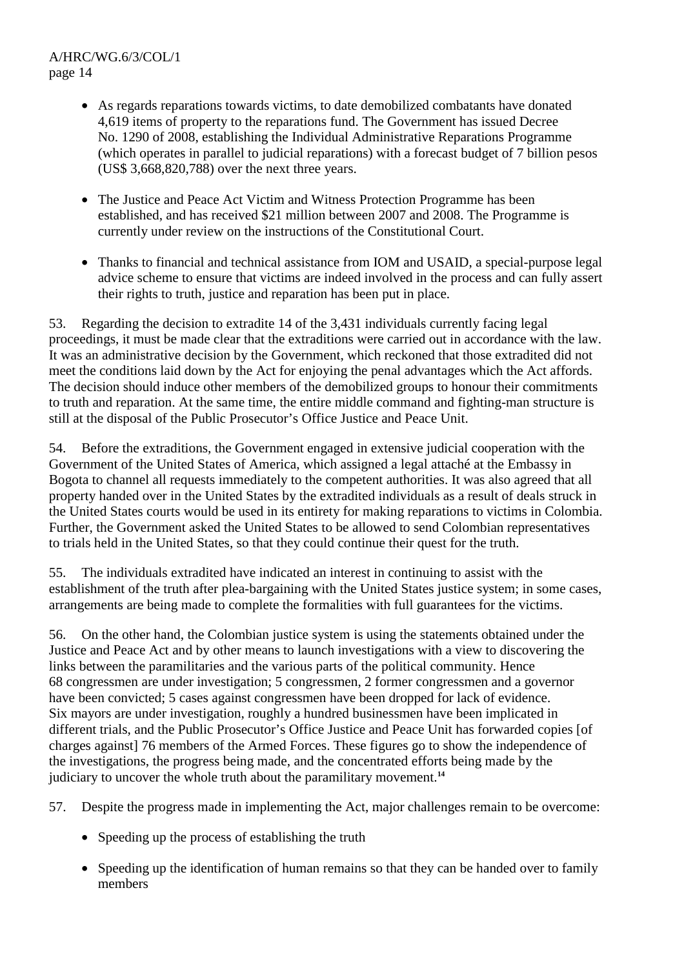- As regards reparations towards victims, to date demobilized combatants have donated 4,619 items of property to the reparations fund. The Government has issued Decree No. 1290 of 2008, establishing the Individual Administrative Reparations Programme (which operates in parallel to judicial reparations) with a forecast budget of 7 billion pesos (US\$ 3,668,820,788) over the next three years.
- The Justice and Peace Act Victim and Witness Protection Programme has been established, and has received \$21 million between 2007 and 2008. The Programme is currently under review on the instructions of the Constitutional Court.
- Thanks to financial and technical assistance from IOM and USAID, a special-purpose legal advice scheme to ensure that victims are indeed involved in the process and can fully assert their rights to truth, justice and reparation has been put in place.

53. Regarding the decision to extradite 14 of the 3,431 individuals currently facing legal proceedings, it must be made clear that the extraditions were carried out in accordance with the law. It was an administrative decision by the Government, which reckoned that those extradited did not meet the conditions laid down by the Act for enjoying the penal advantages which the Act affords. The decision should induce other members of the demobilized groups to honour their commitments to truth and reparation. At the same time, the entire middle command and fighting-man structure is still at the disposal of the Public Prosecutor's Office Justice and Peace Unit.

54. Before the extraditions, the Government engaged in extensive judicial cooperation with the Government of the United States of America, which assigned a legal attaché at the Embassy in Bogota to channel all requests immediately to the competent authorities. It was also agreed that all property handed over in the United States by the extradited individuals as a result of deals struck in the United States courts would be used in its entirety for making reparations to victims in Colombia. Further, the Government asked the United States to be allowed to send Colombian representatives to trials held in the United States, so that they could continue their quest for the truth.

55. The individuals extradited have indicated an interest in continuing to assist with the establishment of the truth after plea-bargaining with the United States justice system; in some cases, arrangements are being made to complete the formalities with full guarantees for the victims.

56. On the other hand, the Colombian justice system is using the statements obtained under the Justice and Peace Act and by other means to launch investigations with a view to discovering the links between the paramilitaries and the various parts of the political community. Hence 68 congressmen are under investigation; 5 congressmen, 2 former congressmen and a governor have been convicted; 5 cases against congressmen have been dropped for lack of evidence. Six mayors are under investigation, roughly a hundred businessmen have been implicated in different trials, and the Public Prosecutor's Office Justice and Peace Unit has forwarded copies [of charges against] 76 members of the Armed Forces. These figures go to show the independence of the investigations, the progress being made, and the concentrated efforts being made by the judiciary to uncover the whole truth about the paramilitary movement.**<sup>14</sup>**

57. Despite the progress made in implementing the Act, major challenges remain to be overcome:

- Speeding up the process of establishing the truth
- Speeding up the identification of human remains so that they can be handed over to family members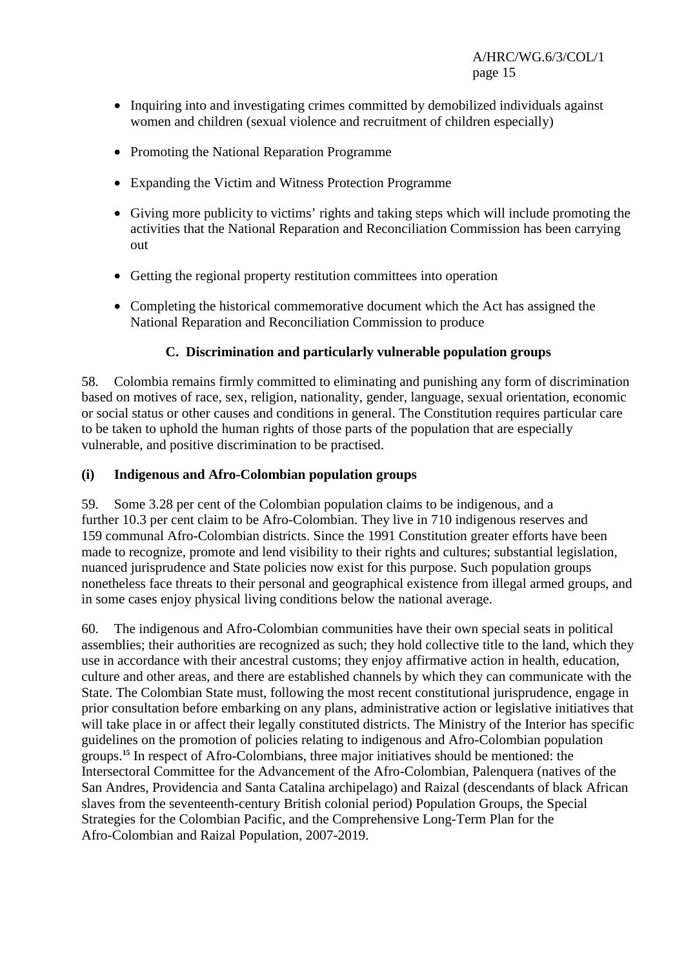- Inquiring into and investigating crimes committed by demobilized individuals against women and children (sexual violence and recruitment of children especially)
- Promoting the National Reparation Programme
- Expanding the Victim and Witness Protection Programme
- Giving more publicity to victims' rights and taking steps which will include promoting the activities that the National Reparation and Reconciliation Commission has been carrying out
- Getting the regional property restitution committees into operation
- Completing the historical commemorative document which the Act has assigned the National Reparation and Reconciliation Commission to produce

#### **C. Discrimination and particularly vulnerable population groups**

58. Colombia remains firmly committed to eliminating and punishing any form of discrimination based on motives of race, sex, religion, nationality, gender, language, sexual orientation, economic or social status or other causes and conditions in general. The Constitution requires particular care to be taken to uphold the human rights of those parts of the population that are especially vulnerable, and positive discrimination to be practised.

#### **(i) Indigenous and Afro-Colombian population groups**

59. Some 3.28 per cent of the Colombian population claims to be indigenous, and a further 10.3 per cent claim to be Afro-Colombian. They live in 710 indigenous reserves and 159 communal Afro-Colombian districts. Since the 1991 Constitution greater efforts have been made to recognize, promote and lend visibility to their rights and cultures; substantial legislation, nuanced jurisprudence and State policies now exist for this purpose. Such population groups nonetheless face threats to their personal and geographical existence from illegal armed groups, and in some cases enjoy physical living conditions below the national average.

60. The indigenous and Afro-Colombian communities have their own special seats in political assemblies; their authorities are recognized as such; they hold collective title to the land, which they use in accordance with their ancestral customs; they enjoy affirmative action in health, education, culture and other areas, and there are established channels by which they can communicate with the State. The Colombian State must, following the most recent constitutional jurisprudence, engage in prior consultation before embarking on any plans, administrative action or legislative initiatives that will take place in or affect their legally constituted districts. The Ministry of the Interior has specific guidelines on the promotion of policies relating to indigenous and Afro-Colombian population groups.**<sup>15</sup>** In respect of Afro-Colombians, three major initiatives should be mentioned: the Intersectoral Committee for the Advancement of the Afro-Colombian, Palenquera (natives of the San Andres, Providencia and Santa Catalina archipelago) and Raizal (descendants of black African slaves from the seventeenth-century British colonial period) Population Groups, the Special Strategies for the Colombian Pacific, and the Comprehensive Long-Term Plan for the Afro-Colombian and Raizal Population, 2007-2019.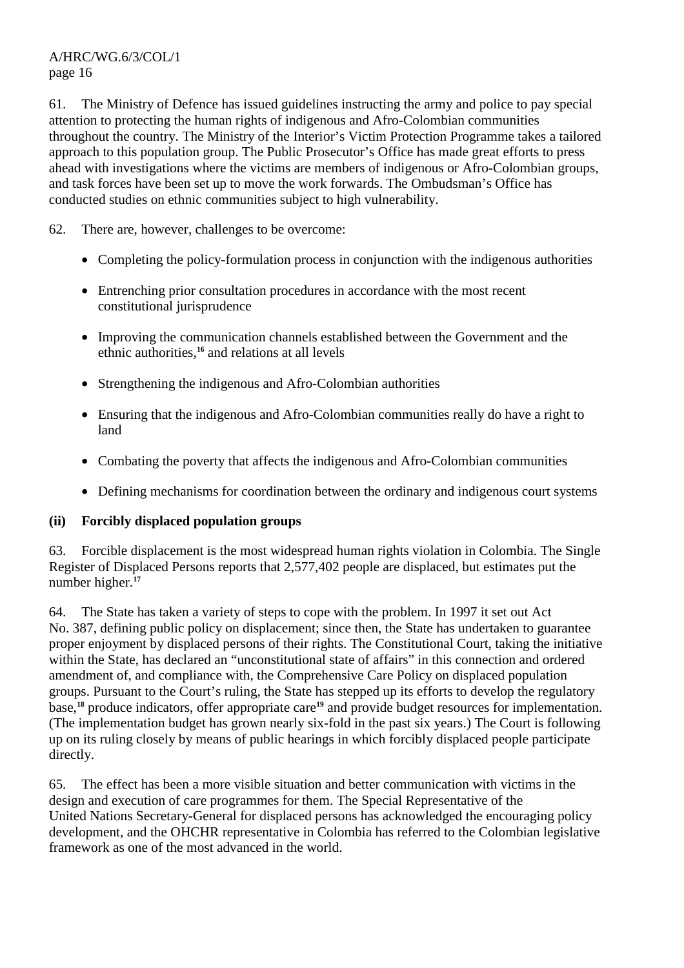61. The Ministry of Defence has issued guidelines instructing the army and police to pay special attention to protecting the human rights of indigenous and Afro-Colombian communities throughout the country. The Ministry of the Interior's Victim Protection Programme takes a tailored approach to this population group. The Public Prosecutor's Office has made great efforts to press ahead with investigations where the victims are members of indigenous or Afro-Colombian groups, and task forces have been set up to move the work forwards. The Ombudsman's Office has conducted studies on ethnic communities subject to high vulnerability.

62. There are, however, challenges to be overcome:

- Completing the policy-formulation process in conjunction with the indigenous authorities
- Entrenching prior consultation procedures in accordance with the most recent constitutional jurisprudence
- Improving the communication channels established between the Government and the ethnic authorities,**<sup>16</sup>** and relations at all levels
- Strengthening the indigenous and Afro-Colombian authorities
- Ensuring that the indigenous and Afro-Colombian communities really do have a right to land
- Combating the poverty that affects the indigenous and Afro-Colombian communities
- Defining mechanisms for coordination between the ordinary and indigenous court systems

#### **(ii) Forcibly displaced population groups**

63. Forcible displacement is the most widespread human rights violation in Colombia. The Single Register of Displaced Persons reports that 2,577,402 people are displaced, but estimates put the number higher.**<sup>17</sup>**

64. The State has taken a variety of steps to cope with the problem. In 1997 it set out Act No. 387, defining public policy on displacement; since then, the State has undertaken to guarantee proper enjoyment by displaced persons of their rights. The Constitutional Court, taking the initiative within the State, has declared an "unconstitutional state of affairs" in this connection and ordered amendment of, and compliance with, the Comprehensive Care Policy on displaced population groups. Pursuant to the Court's ruling, the State has stepped up its efforts to develop the regulatory base,**<sup>18</sup>** produce indicators, offer appropriate care**<sup>19</sup>** and provide budget resources for implementation. (The implementation budget has grown nearly six-fold in the past six years.) The Court is following up on its ruling closely by means of public hearings in which forcibly displaced people participate directly.

65. The effect has been a more visible situation and better communication with victims in the design and execution of care programmes for them. The Special Representative of the United Nations Secretary-General for displaced persons has acknowledged the encouraging policy development, and the OHCHR representative in Colombia has referred to the Colombian legislative framework as one of the most advanced in the world.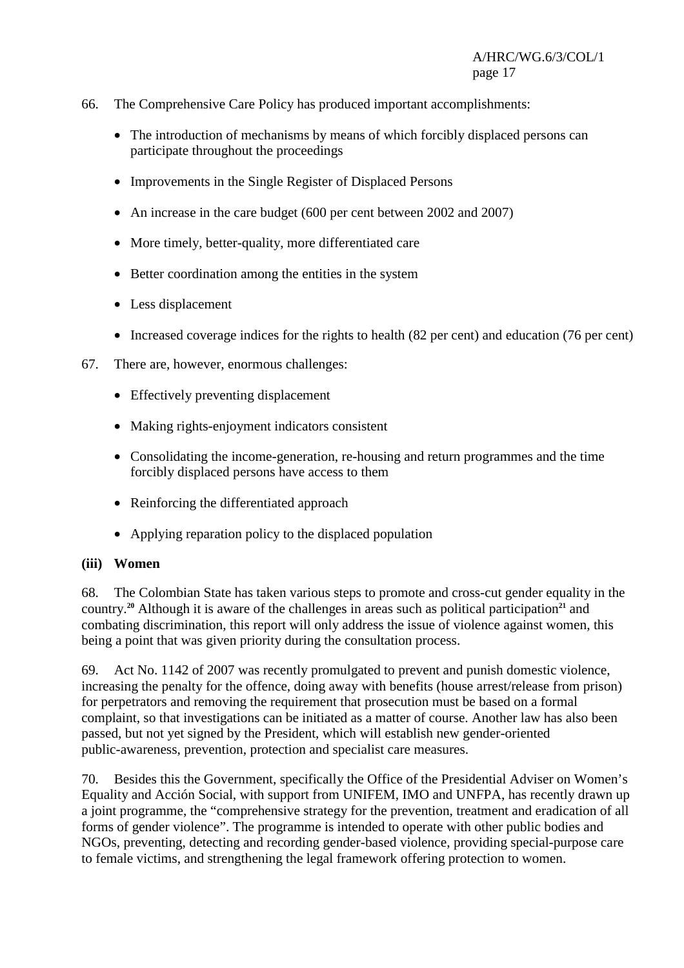- 66. The Comprehensive Care Policy has produced important accomplishments:
	- The introduction of mechanisms by means of which forcibly displaced persons can participate throughout the proceedings
	- Improvements in the Single Register of Displaced Persons
	- An increase in the care budget (600 per cent between 2002 and 2007)
	- More timely, better-quality, more differentiated care
	- Better coordination among the entities in the system
	- Less displacement
	- Increased coverage indices for the rights to health (82 per cent) and education (76 per cent)
- 67. There are, however, enormous challenges:
	- Effectively preventing displacement
	- Making rights-enjoyment indicators consistent
	- Consolidating the income-generation, re-housing and return programmes and the time forcibly displaced persons have access to them
	- Reinforcing the differentiated approach
	- Applying reparation policy to the displaced population

#### **(iii) Women**

68. The Colombian State has taken various steps to promote and cross-cut gender equality in the country.<sup>20</sup> Although it is aware of the challenges in areas such as political participation<sup>21</sup> and combating discrimination, this report will only address the issue of violence against women, this being a point that was given priority during the consultation process.

69. Act No. 1142 of 2007 was recently promulgated to prevent and punish domestic violence, increasing the penalty for the offence, doing away with benefits (house arrest/release from prison) for perpetrators and removing the requirement that prosecution must be based on a formal complaint, so that investigations can be initiated as a matter of course. Another law has also been passed, but not yet signed by the President, which will establish new gender-oriented public-awareness, prevention, protection and specialist care measures.

70. Besides this the Government, specifically the Office of the Presidential Adviser on Women's Equality and Acción Social, with support from UNIFEM, IMO and UNFPA, has recently drawn up a joint programme, the "comprehensive strategy for the prevention, treatment and eradication of all forms of gender violence". The programme is intended to operate with other public bodies and NGOs, preventing, detecting and recording gender-based violence, providing special-purpose care to female victims, and strengthening the legal framework offering protection to women.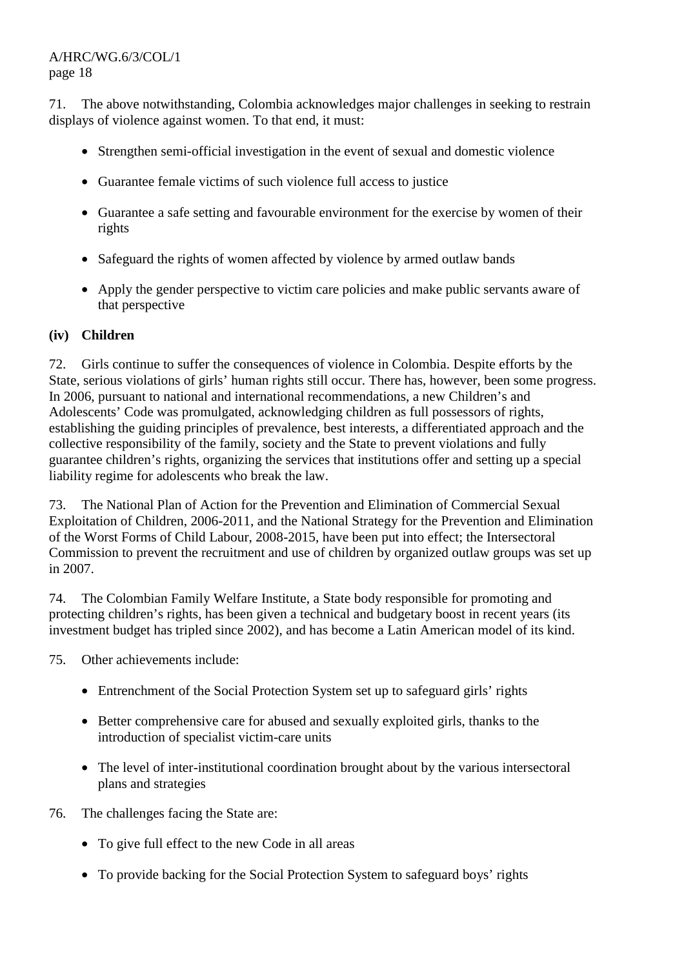71. The above notwithstanding, Colombia acknowledges major challenges in seeking to restrain displays of violence against women. To that end, it must:

- Strengthen semi-official investigation in the event of sexual and domestic violence
- Guarantee female victims of such violence full access to justice
- Guarantee a safe setting and favourable environment for the exercise by women of their rights
- Safeguard the rights of women affected by violence by armed outlaw bands
- Apply the gender perspective to victim care policies and make public servants aware of that perspective

## **(iv) Children**

72. Girls continue to suffer the consequences of violence in Colombia. Despite efforts by the State, serious violations of girls' human rights still occur. There has, however, been some progress. In 2006, pursuant to national and international recommendations, a new Children's and Adolescents' Code was promulgated, acknowledging children as full possessors of rights, establishing the guiding principles of prevalence, best interests, a differentiated approach and the collective responsibility of the family, society and the State to prevent violations and fully guarantee children's rights, organizing the services that institutions offer and setting up a special liability regime for adolescents who break the law.

73. The National Plan of Action for the Prevention and Elimination of Commercial Sexual Exploitation of Children, 2006-2011, and the National Strategy for the Prevention and Elimination of the Worst Forms of Child Labour, 2008-2015, have been put into effect; the Intersectoral Commission to prevent the recruitment and use of children by organized outlaw groups was set up in 2007.

74. The Colombian Family Welfare Institute, a State body responsible for promoting and protecting children's rights, has been given a technical and budgetary boost in recent years (its investment budget has tripled since 2002), and has become a Latin American model of its kind.

- 75. Other achievements include:
	- Entrenchment of the Social Protection System set up to safeguard girls' rights
	- Better comprehensive care for abused and sexually exploited girls, thanks to the introduction of specialist victim-care units
	- The level of inter-institutional coordination brought about by the various intersectoral plans and strategies
- 76. The challenges facing the State are:
	- To give full effect to the new Code in all areas
	- To provide backing for the Social Protection System to safeguard boys' rights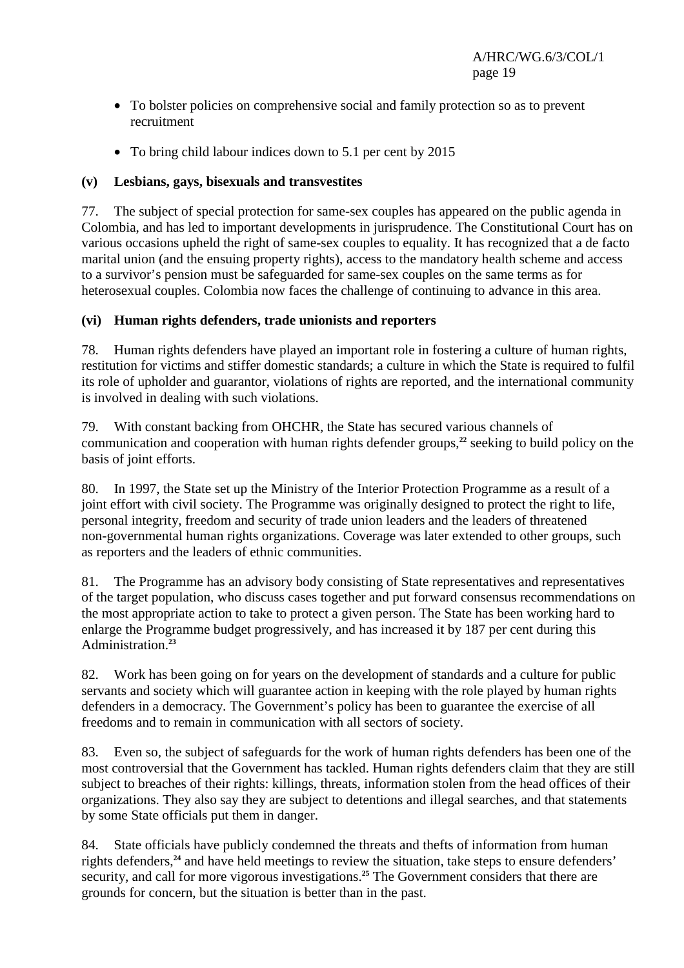- To bolster policies on comprehensive social and family protection so as to prevent recruitment
- To bring child labour indices down to 5.1 per cent by 2015

## **(v) Lesbians, gays, bisexuals and transvestites**

77. The subject of special protection for same-sex couples has appeared on the public agenda in Colombia, and has led to important developments in jurisprudence. The Constitutional Court has on various occasions upheld the right of same-sex couples to equality. It has recognized that a de facto marital union (and the ensuing property rights), access to the mandatory health scheme and access to a survivor's pension must be safeguarded for same-sex couples on the same terms as for heterosexual couples. Colombia now faces the challenge of continuing to advance in this area.

## **(vi) Human rights defenders, trade unionists and reporters**

78. Human rights defenders have played an important role in fostering a culture of human rights, restitution for victims and stiffer domestic standards; a culture in which the State is required to fulfil its role of upholder and guarantor, violations of rights are reported, and the international community is involved in dealing with such violations.

79. With constant backing from OHCHR, the State has secured various channels of communication and cooperation with human rights defender groups,**<sup>22</sup>** seeking to build policy on the basis of joint efforts.

80. In 1997, the State set up the Ministry of the Interior Protection Programme as a result of a joint effort with civil society. The Programme was originally designed to protect the right to life, personal integrity, freedom and security of trade union leaders and the leaders of threatened non-governmental human rights organizations. Coverage was later extended to other groups, such as reporters and the leaders of ethnic communities.

81. The Programme has an advisory body consisting of State representatives and representatives of the target population, who discuss cases together and put forward consensus recommendations on the most appropriate action to take to protect a given person. The State has been working hard to enlarge the Programme budget progressively, and has increased it by 187 per cent during this Administration.**<sup>23</sup>**

82. Work has been going on for years on the development of standards and a culture for public servants and society which will guarantee action in keeping with the role played by human rights defenders in a democracy. The Government's policy has been to guarantee the exercise of all freedoms and to remain in communication with all sectors of society.

83. Even so, the subject of safeguards for the work of human rights defenders has been one of the most controversial that the Government has tackled. Human rights defenders claim that they are still subject to breaches of their rights: killings, threats, information stolen from the head offices of their organizations. They also say they are subject to detentions and illegal searches, and that statements by some State officials put them in danger.

84. State officials have publicly condemned the threats and thefts of information from human rights defenders,**<sup>24</sup>** and have held meetings to review the situation, take steps to ensure defenders' security, and call for more vigorous investigations.<sup>25</sup> The Government considers that there are grounds for concern, but the situation is better than in the past.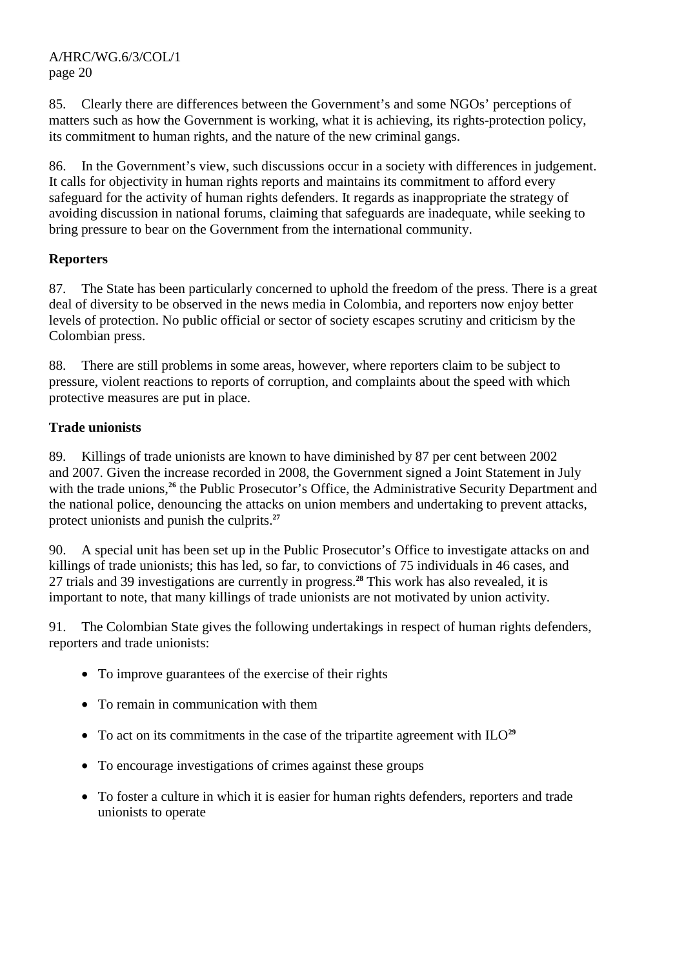85. Clearly there are differences between the Government's and some NGOs' perceptions of matters such as how the Government is working, what it is achieving, its rights-protection policy, its commitment to human rights, and the nature of the new criminal gangs.

86. In the Government's view, such discussions occur in a society with differences in judgement. It calls for objectivity in human rights reports and maintains its commitment to afford every safeguard for the activity of human rights defenders. It regards as inappropriate the strategy of avoiding discussion in national forums, claiming that safeguards are inadequate, while seeking to bring pressure to bear on the Government from the international community.

## **Reporters**

87. The State has been particularly concerned to uphold the freedom of the press. There is a great deal of diversity to be observed in the news media in Colombia, and reporters now enjoy better levels of protection. No public official or sector of society escapes scrutiny and criticism by the Colombian press.

88. There are still problems in some areas, however, where reporters claim to be subject to pressure, violent reactions to reports of corruption, and complaints about the speed with which protective measures are put in place.

# **Trade unionists**

89. Killings of trade unionists are known to have diminished by 87 per cent between 2002 and 2007. Given the increase recorded in 2008, the Government signed a Joint Statement in July with the trade unions,<sup>26</sup> the Public Prosecutor's Office, the Administrative Security Department and the national police, denouncing the attacks on union members and undertaking to prevent attacks, protect unionists and punish the culprits.**<sup>27</sup>**

90. A special unit has been set up in the Public Prosecutor's Office to investigate attacks on and killings of trade unionists; this has led, so far, to convictions of 75 individuals in 46 cases, and 27 trials and 39 investigations are currently in progress.**<sup>28</sup>** This work has also revealed, it is important to note, that many killings of trade unionists are not motivated by union activity.

91. The Colombian State gives the following undertakings in respect of human rights defenders, reporters and trade unionists:

- To improve guarantees of the exercise of their rights
- To remain in communication with them
- To act on its commitments in the case of the tripartite agreement with ILO**<sup>29</sup>**
- To encourage investigations of crimes against these groups
- To foster a culture in which it is easier for human rights defenders, reporters and trade unionists to operate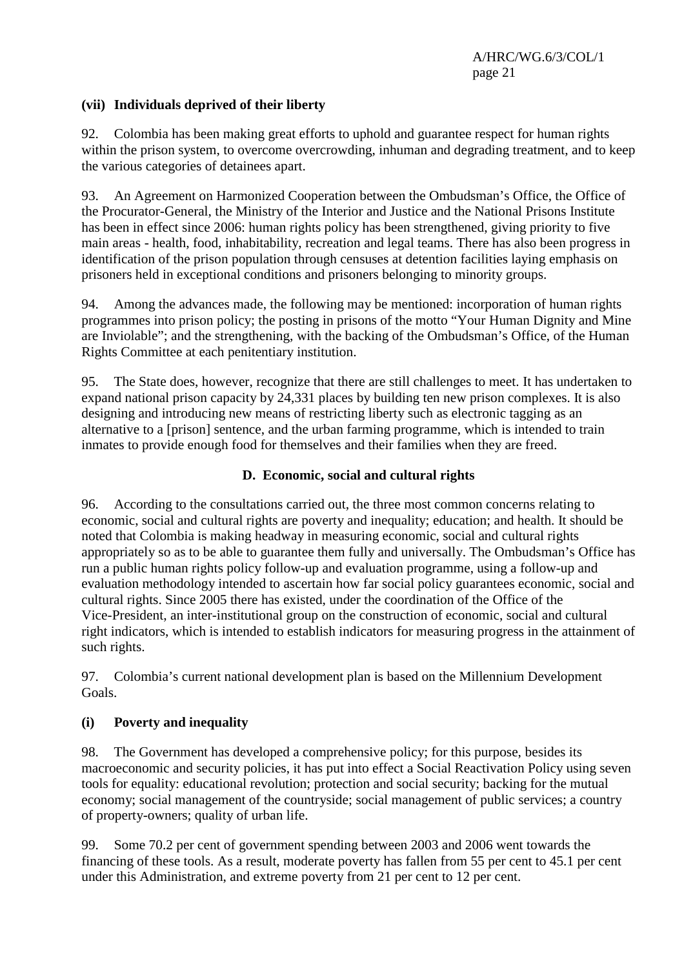## **(vii) Individuals deprived of their liberty**

92. Colombia has been making great efforts to uphold and guarantee respect for human rights within the prison system, to overcome overcrowding, inhuman and degrading treatment, and to keep the various categories of detainees apart.

93. An Agreement on Harmonized Cooperation between the Ombudsman's Office, the Office of the Procurator-General, the Ministry of the Interior and Justice and the National Prisons Institute has been in effect since 2006: human rights policy has been strengthened, giving priority to five main areas - health, food, inhabitability, recreation and legal teams. There has also been progress in identification of the prison population through censuses at detention facilities laying emphasis on prisoners held in exceptional conditions and prisoners belonging to minority groups.

94. Among the advances made, the following may be mentioned: incorporation of human rights programmes into prison policy; the posting in prisons of the motto "Your Human Dignity and Mine are Inviolable"; and the strengthening, with the backing of the Ombudsman's Office, of the Human Rights Committee at each penitentiary institution.

95. The State does, however, recognize that there are still challenges to meet. It has undertaken to expand national prison capacity by 24,331 places by building ten new prison complexes. It is also designing and introducing new means of restricting liberty such as electronic tagging as an alternative to a [prison] sentence, and the urban farming programme, which is intended to train inmates to provide enough food for themselves and their families when they are freed.

## **D. Economic, social and cultural rights**

96. According to the consultations carried out, the three most common concerns relating to economic, social and cultural rights are poverty and inequality; education; and health. It should be noted that Colombia is making headway in measuring economic, social and cultural rights appropriately so as to be able to guarantee them fully and universally. The Ombudsman's Office has run a public human rights policy follow-up and evaluation programme, using a follow-up and evaluation methodology intended to ascertain how far social policy guarantees economic, social and cultural rights. Since 2005 there has existed, under the coordination of the Office of the Vice-President, an inter-institutional group on the construction of economic, social and cultural right indicators, which is intended to establish indicators for measuring progress in the attainment of such rights.

97. Colombia's current national development plan is based on the Millennium Development Goals.

#### **(i) Poverty and inequality**

98. The Government has developed a comprehensive policy; for this purpose, besides its macroeconomic and security policies, it has put into effect a Social Reactivation Policy using seven tools for equality: educational revolution; protection and social security; backing for the mutual economy; social management of the countryside; social management of public services; a country of property-owners; quality of urban life.

99. Some 70.2 per cent of government spending between 2003 and 2006 went towards the financing of these tools. As a result, moderate poverty has fallen from 55 per cent to 45.1 per cent under this Administration, and extreme poverty from 21 per cent to 12 per cent.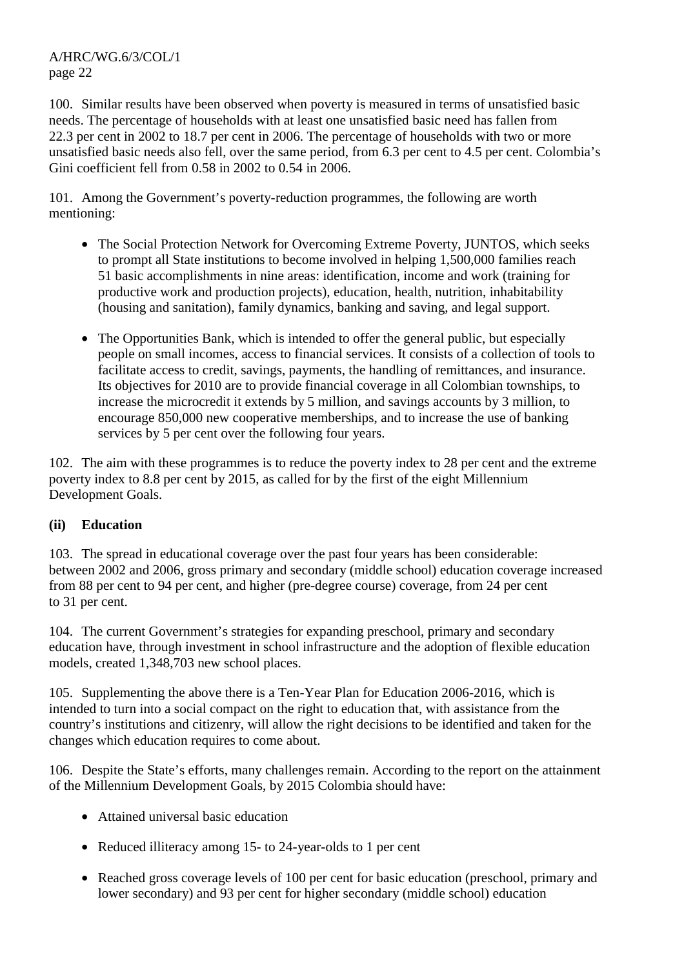100. Similar results have been observed when poverty is measured in terms of unsatisfied basic needs. The percentage of households with at least one unsatisfied basic need has fallen from 22.3 per cent in 2002 to 18.7 per cent in 2006. The percentage of households with two or more unsatisfied basic needs also fell, over the same period, from 6.3 per cent to 4.5 per cent. Colombia's Gini coefficient fell from 0.58 in 2002 to 0.54 in 2006.

101. Among the Government's poverty-reduction programmes, the following are worth mentioning:

- The Social Protection Network for Overcoming Extreme Poverty, JUNTOS, which seeks to prompt all State institutions to become involved in helping 1,500,000 families reach 51 basic accomplishments in nine areas: identification, income and work (training for productive work and production projects), education, health, nutrition, inhabitability (housing and sanitation), family dynamics, banking and saving, and legal support.
- The Opportunities Bank, which is intended to offer the general public, but especially people on small incomes, access to financial services. It consists of a collection of tools to facilitate access to credit, savings, payments, the handling of remittances, and insurance. Its objectives for 2010 are to provide financial coverage in all Colombian townships, to increase the microcredit it extends by 5 million, and savings accounts by 3 million, to encourage 850,000 new cooperative memberships, and to increase the use of banking services by 5 per cent over the following four years.

102. The aim with these programmes is to reduce the poverty index to 28 per cent and the extreme poverty index to 8.8 per cent by 2015, as called for by the first of the eight Millennium Development Goals.

# **(ii) Education**

103. The spread in educational coverage over the past four years has been considerable: between 2002 and 2006, gross primary and secondary (middle school) education coverage increased from 88 per cent to 94 per cent, and higher (pre-degree course) coverage, from 24 per cent to 31 per cent.

104. The current Government's strategies for expanding preschool, primary and secondary education have, through investment in school infrastructure and the adoption of flexible education models, created 1,348,703 new school places.

105. Supplementing the above there is a Ten-Year Plan for Education 2006-2016, which is intended to turn into a social compact on the right to education that, with assistance from the country's institutions and citizenry, will allow the right decisions to be identified and taken for the changes which education requires to come about.

106. Despite the State's efforts, many challenges remain. According to the report on the attainment of the Millennium Development Goals, by 2015 Colombia should have:

- Attained universal basic education
- Reduced illiteracy among 15- to 24-year-olds to 1 per cent
- Reached gross coverage levels of 100 per cent for basic education (preschool, primary and lower secondary) and 93 per cent for higher secondary (middle school) education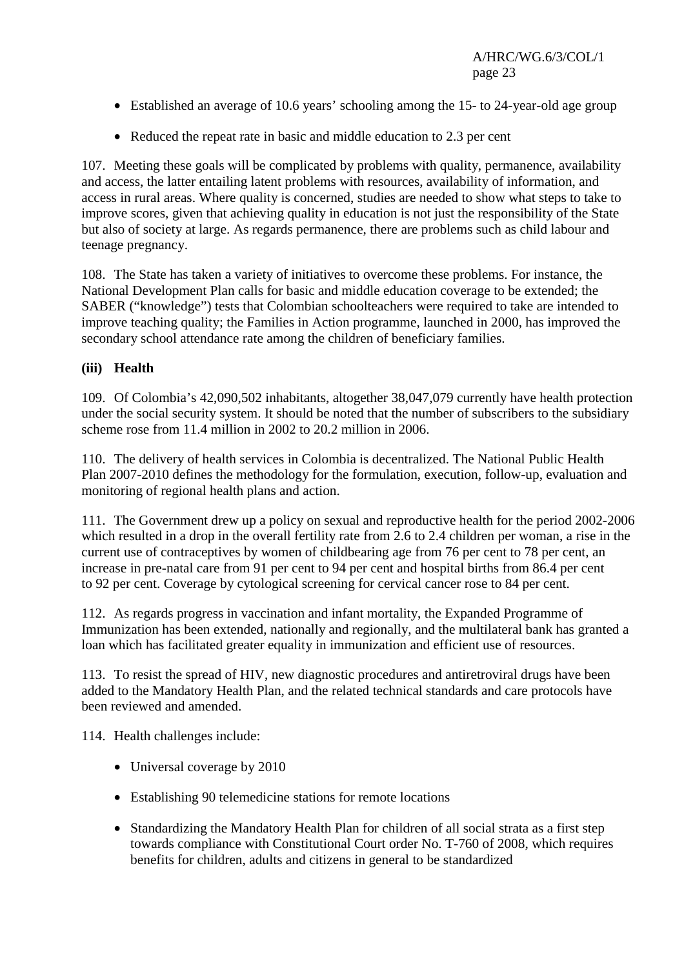- Established an average of 10.6 years' schooling among the 15- to 24-year-old age group
- Reduced the repeat rate in basic and middle education to 2.3 per cent

107. Meeting these goals will be complicated by problems with quality, permanence, availability and access, the latter entailing latent problems with resources, availability of information, and access in rural areas. Where quality is concerned, studies are needed to show what steps to take to improve scores, given that achieving quality in education is not just the responsibility of the State but also of society at large. As regards permanence, there are problems such as child labour and teenage pregnancy.

108. The State has taken a variety of initiatives to overcome these problems. For instance, the National Development Plan calls for basic and middle education coverage to be extended; the SABER ("knowledge") tests that Colombian schoolteachers were required to take are intended to improve teaching quality; the Families in Action programme, launched in 2000, has improved the secondary school attendance rate among the children of beneficiary families.

#### **(iii) Health**

109. Of Colombia's 42,090,502 inhabitants, altogether 38,047,079 currently have health protection under the social security system. It should be noted that the number of subscribers to the subsidiary scheme rose from 11.4 million in 2002 to 20.2 million in 2006.

110. The delivery of health services in Colombia is decentralized. The National Public Health Plan 2007-2010 defines the methodology for the formulation, execution, follow-up, evaluation and monitoring of regional health plans and action.

111. The Government drew up a policy on sexual and reproductive health for the period 2002-2006 which resulted in a drop in the overall fertility rate from 2.6 to 2.4 children per woman, a rise in the current use of contraceptives by women of childbearing age from 76 per cent to 78 per cent, an increase in pre-natal care from 91 per cent to 94 per cent and hospital births from 86.4 per cent to 92 per cent. Coverage by cytological screening for cervical cancer rose to 84 per cent.

112. As regards progress in vaccination and infant mortality, the Expanded Programme of Immunization has been extended, nationally and regionally, and the multilateral bank has granted a loan which has facilitated greater equality in immunization and efficient use of resources.

113. To resist the spread of HIV, new diagnostic procedures and antiretroviral drugs have been added to the Mandatory Health Plan, and the related technical standards and care protocols have been reviewed and amended.

114. Health challenges include:

- Universal coverage by 2010
- Establishing 90 telemedicine stations for remote locations
- Standardizing the Mandatory Health Plan for children of all social strata as a first step towards compliance with Constitutional Court order No. T-760 of 2008, which requires benefits for children, adults and citizens in general to be standardized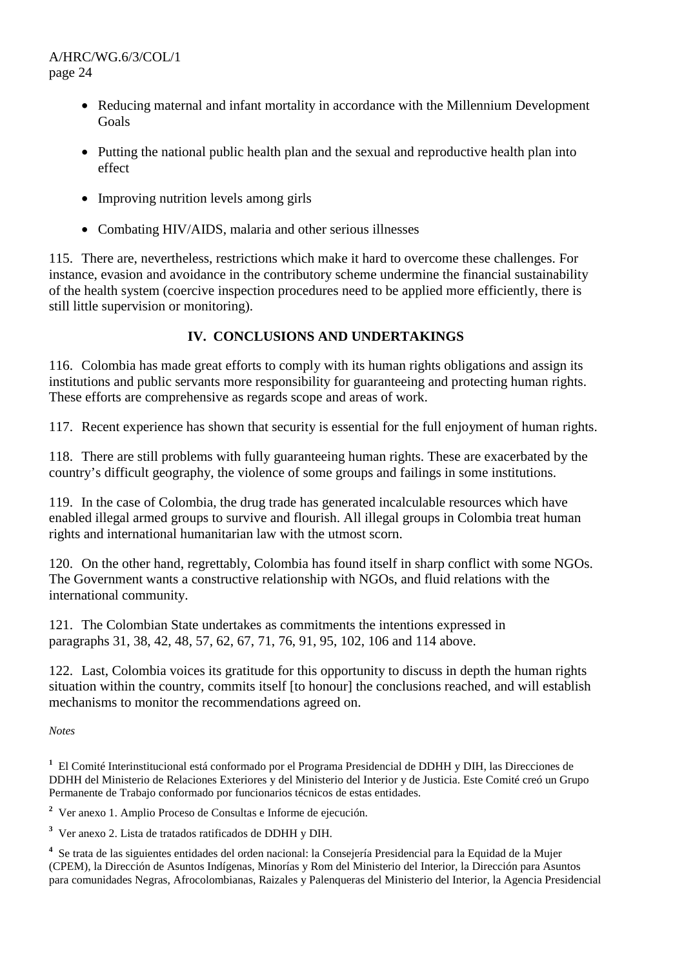- Reducing maternal and infant mortality in accordance with the Millennium Development Goals
- Putting the national public health plan and the sexual and reproductive health plan into effect
- Improving nutrition levels among girls
- Combating HIV/AIDS, malaria and other serious illnesses

115. There are, nevertheless, restrictions which make it hard to overcome these challenges. For instance, evasion and avoidance in the contributory scheme undermine the financial sustainability of the health system (coercive inspection procedures need to be applied more efficiently, there is still little supervision or monitoring).

# **IV. CONCLUSIONS AND UNDERTAKINGS**

116. Colombia has made great efforts to comply with its human rights obligations and assign its institutions and public servants more responsibility for guaranteeing and protecting human rights. These efforts are comprehensive as regards scope and areas of work.

117. Recent experience has shown that security is essential for the full enjoyment of human rights.

118. There are still problems with fully guaranteeing human rights. These are exacerbated by the country's difficult geography, the violence of some groups and failings in some institutions.

119. In the case of Colombia, the drug trade has generated incalculable resources which have enabled illegal armed groups to survive and flourish. All illegal groups in Colombia treat human rights and international humanitarian law with the utmost scorn.

120. On the other hand, regrettably, Colombia has found itself in sharp conflict with some NGOs. The Government wants a constructive relationship with NGOs, and fluid relations with the international community.

121. The Colombian State undertakes as commitments the intentions expressed in paragraphs 31, 38, 42, 48, 57, 62, 67, 71, 76, 91, 95, 102, 106 and 114 above.

122. Last, Colombia voices its gratitude for this opportunity to discuss in depth the human rights situation within the country, commits itself [to honour] the conclusions reached, and will establish mechanisms to monitor the recommendations agreed on.

*Notes*

**1** El Comité Interinstitucional está conformado por el Programa Presidencial de DDHH y DIH, las Direcciones de DDHH del Ministerio de Relaciones Exteriores y del Ministerio del Interior y de Justicia. Este Comité creó un Grupo Permanente de Trabajo conformado por funcionarios técnicos de estas entidades.

**2** Ver anexo 1. Amplio Proceso de Consultas e Informe de ejecución.

**3** Ver anexo 2. Lista de tratados ratificados de DDHH y DIH.

**4** Se trata de las siguientes entidades del orden nacional: la Consejería Presidencial para la Equidad de la Mujer (CPEM), la Dirección de Asuntos Indígenas, Minorías y Rom del Ministerio del Interior, la Dirección para Asuntos para comunidades Negras, Afrocolombianas, Raizales y Palenqueras del Ministerio del Interior, la Agencia Presidencial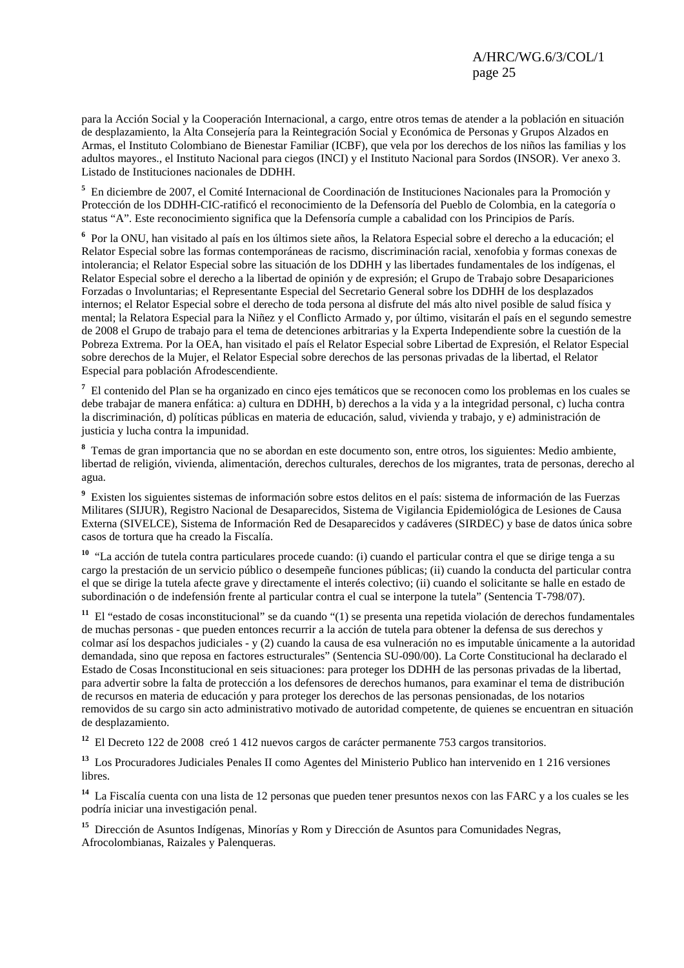para la Acción Social y la Cooperación Internacional, a cargo, entre otros temas de atender a la población en situación de desplazamiento, la Alta Consejería para la Reintegración Social y Económica de Personas y Grupos Alzados en Armas, el Instituto Colombiano de Bienestar Familiar (ICBF), que vela por los derechos de los niños las familias y los adultos mayores., el Instituto Nacional para ciegos (INCI) y el Instituto Nacional para Sordos (INSOR). Ver anexo 3. Listado de Instituciones nacionales de DDHH.

**5** En diciembre de 2007, el Comité Internacional de Coordinación de Instituciones Nacionales para la Promoción y Protección de los DDHH-CIC-ratificó el reconocimiento de la Defensoría del Pueblo de Colombia, en la categoría o status "A". Este reconocimiento significa que la Defensoría cumple a cabalidad con los Principios de París.

**6** Por la ONU, han visitado al país en los últimos siete años, la Relatora Especial sobre el derecho a la educación; el Relator Especial sobre las formas contemporáneas de racismo, discriminación racial, xenofobia y formas conexas de intolerancia; el Relator Especial sobre las situación de los DDHH y las libertades fundamentales de los indígenas, el Relator Especial sobre el derecho a la libertad de opinión y de expresión; el Grupo de Trabajo sobre Desapariciones Forzadas o Involuntarias; el Representante Especial del Secretario General sobre los DDHH de los desplazados internos; el Relator Especial sobre el derecho de toda persona al disfrute del más alto nivel posible de salud física y mental; la Relatora Especial para la Niñez y el Conflicto Armado y, por último, visitarán el país en el segundo semestre de 2008 el Grupo de trabajo para el tema de detenciones arbitrarias y la Experta Independiente sobre la cuestión de la Pobreza Extrema. Por la OEA, han visitado el país el Relator Especial sobre Libertad de Expresión, el Relator Especial sobre derechos de la Mujer, el Relator Especial sobre derechos de las personas privadas de la libertad, el Relator Especial para población Afrodescendiente.

**7** El contenido del Plan se ha organizado en cinco ejes temáticos que se reconocen como los problemas en los cuales se debe trabajar de manera enfática: a) cultura en DDHH, b) derechos a la vida y a la integridad personal, c) lucha contra la discriminación, d) políticas públicas en materia de educación, salud, vivienda y trabajo, y e) administración de justicia y lucha contra la impunidad.

**8** Temas de gran importancia que no se abordan en este documento son, entre otros, los siguientes: Medio ambiente, libertad de religión, vivienda, alimentación, derechos culturales, derechos de los migrantes, trata de personas, derecho al agua.

**9** Existen los siguientes sistemas de información sobre estos delitos en el país: sistema de información de las Fuerzas Militares (SIJUR), Registro Nacional de Desaparecidos, Sistema de Vigilancia Epidemiológica de Lesiones de Causa Externa (SIVELCE), Sistema de Información Red de Desaparecidos y cadáveres (SIRDEC) y base de datos única sobre casos de tortura que ha creado la Fiscalía.

**<sup>10</sup>** "La acción de tutela contra particulares procede cuando: (i) cuando el particular contra el que se dirige tenga a su cargo la prestación de un servicio público o desempeñe funciones públicas; (ii) cuando la conducta del particular contra el que se dirige la tutela afecte grave y directamente el interés colectivo; (ii) cuando el solicitante se halle en estado de subordinación o de indefensión frente al particular contra el cual se interpone la tutela" (Sentencia T-798/07).

**<sup>11</sup>** El "estado de cosas inconstitucional" se da cuando "(1) se presenta una repetida violación de derechos fundamentales de muchas personas - que pueden entonces recurrir a la acción de tutela para obtener la defensa de sus derechos y colmar así los despachos judiciales - y (2) cuando la causa de esa vulneración no es imputable únicamente a la autoridad demandada, sino que reposa en factores estructurales" (Sentencia SU-090/00). La Corte Constitucional ha declarado el Estado de Cosas Inconstitucional en seis situaciones: para proteger los DDHH de las personas privadas de la libertad, para advertir sobre la falta de protección a los defensores de derechos humanos, para examinar el tema de distribución de recursos en materia de educación y para proteger los derechos de las personas pensionadas, de los notarios removidos de su cargo sin acto administrativo motivado de autoridad competente, de quienes se encuentran en situación de desplazamiento.

**<sup>12</sup>** El Decreto 122 de 2008 creó 1 412 nuevos cargos de carácter permanente 753 cargos transitorios.

**<sup>13</sup>** Los Procuradores Judiciales Penales II como Agentes del Ministerio Publico han intervenido en 1 216 versiones libres.

**<sup>14</sup>** La Fiscalía cuenta con una lista de 12 personas que pueden tener presuntos nexos con las FARC y a los cuales se les podría iniciar una investigación penal.

**<sup>15</sup>** Dirección de Asuntos Indígenas, Minorías y Rom y Dirección de Asuntos para Comunidades Negras, Afrocolombianas, Raizales y Palenqueras.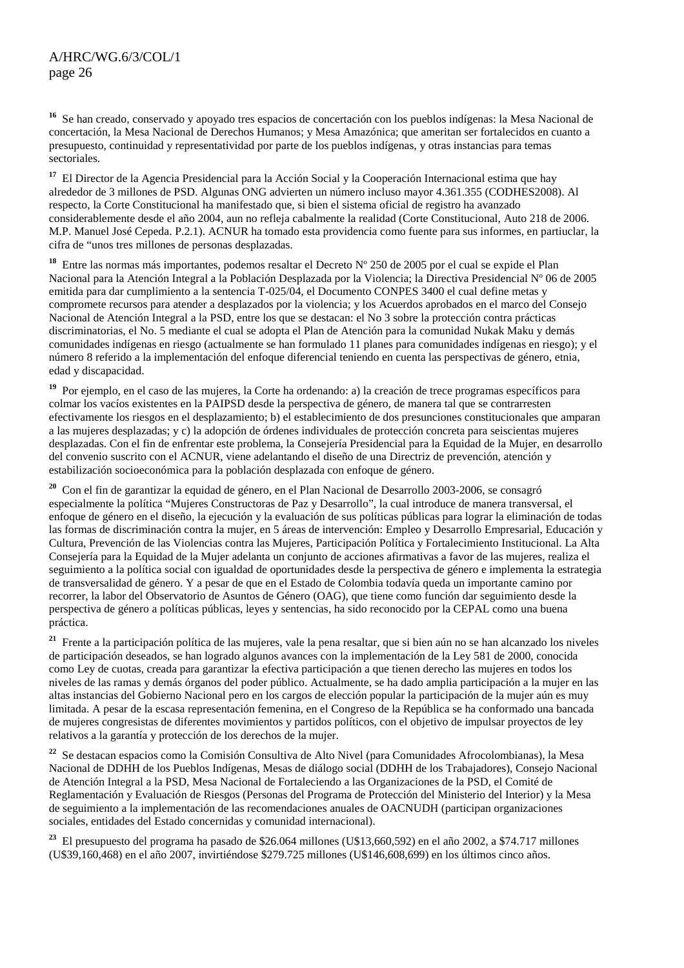**<sup>16</sup>** Se han creado, conservado y apoyado tres espacios de concertación con los pueblos indígenas: la Mesa Nacional de concertación, la Mesa Nacional de Derechos Humanos; y Mesa Amazónica; que ameritan ser fortalecidos en cuanto a presupuesto, continuidad y representatividad por parte de los pueblos indígenas, y otras instancias para temas sectoriales.

**<sup>17</sup>** El Director de la Agencia Presidencial para la Acción Social y la Cooperación Internacional estima que hay alrededor de 3 millones de PSD. Algunas ONG advierten un número incluso mayor 4.361.355 (CODHES2008). Al respecto, la Corte Constitucional ha manifestado que, si bien el sistema oficial de registro ha avanzado considerablemente desde el año 2004, aun no refleja cabalmente la realidad (Corte Constitucional, Auto 218 de 2006. M.P. Manuel José Cepeda. P.2.1). ACNUR ha tomado esta providencia como fuente para sus informes, en partiuclar, la cifra de "unos tres millones de personas desplazadas.

**<sup>18</sup>** Entre las normas más importantes, podemos resaltar el Decreto Nº 250 de 2005 por el cual se expide el Plan Nacional para la Atención Integral a la Población Desplazada por la Violencia; la Directiva Presidencial Nº 06 de 2005 emitida para dar cumplimiento a la sentencia T-025/04, el Documento CONPES 3400 el cual define metas y compromete recursos para atender a desplazados por la violencia; y los Acuerdos aprobados en el marco del Consejo Nacional de Atención Integral a la PSD, entre los que se destacan: el No 3 sobre la protección contra prácticas discriminatorias, el No. 5 mediante el cual se adopta el Plan de Atención para la comunidad Nukak Maku y demás comunidades indígenas en riesgo (actualmente se han formulado 11 planes para comunidades indígenas en riesgo); y el número 8 referido a la implementación del enfoque diferencial teniendo en cuenta las perspectivas de género, etnia, edad y discapacidad.

**<sup>19</sup>** Por ejemplo, en el caso de las mujeres, la Corte ha ordenando: a) la creación de trece programas específicos para colmar los vacíos existentes en la PAIPSD desde la perspectiva de género, de manera tal que se contrarresten efectivamente los riesgos en el desplazamiento; b) el establecimiento de dos presunciones constitucionales que amparan a las mujeres desplazadas; y c) la adopción de órdenes individuales de protección concreta para seiscientas mujeres desplazadas. Con el fin de enfrentar este problema, la Consejería Presidencial para la Equidad de la Mujer, en desarrollo del convenio suscrito con el ACNUR, viene adelantando el diseño de una Directriz de prevención, atención y estabilización socioeconómica para la población desplazada con enfoque de género.

**<sup>20</sup>** Con el fin de garantizar la equidad de género, en el Plan Nacional de Desarrollo 2003-2006, se consagró especialmente la política "Mujeres Constructoras de Paz y Desarrollo", la cual introduce de manera transversal, el enfoque de género en el diseño, la ejecución y la evaluación de sus políticas públicas para lograr la eliminación de todas las formas de discriminación contra la mujer, en 5 áreas de intervención: Empleo y Desarrollo Empresarial, Educación y Cultura, Prevención de las Violencias contra las Mujeres, Participación Política y Fortalecimiento Institucional. La Alta Consejería para la Equidad de la Mujer adelanta un conjunto de acciones afirmativas a favor de las mujeres, realiza el seguimiento a la política social con igualdad de oportunidades desde la perspectiva de género e implementa la estrategia de transversalidad de género. Y a pesar de que en el Estado de Colombia todavía queda un importante camino por recorrer, la labor del Observatorio de Asuntos de Género (OAG), que tiene como función dar seguimiento desde la perspectiva de género a políticas públicas, leyes y sentencias, ha sido reconocido por la CEPAL como una buena práctica.

**<sup>21</sup>** Frente a la participación política de las mujeres, vale la pena resaltar, que si bien aún no se han alcanzado los niveles de participación deseados, se han logrado algunos avances con la implementación de la Ley 581 de 2000, conocida como Ley de cuotas, creada para garantizar la efectiva participación a que tienen derecho las mujeres en todos los niveles de las ramas y demás órganos del poder público. Actualmente, se ha dado amplia participación a la mujer en las altas instancias del Gobierno Nacional pero en los cargos de elección popular la participación de la mujer aún es muy limitada. A pesar de la escasa representación femenina, en el Congreso de la República se ha conformado una bancada de mujeres congresistas de diferentes movimientos y partidos políticos, con el objetivo de impulsar proyectos de ley relativos a la garantía y protección de los derechos de la mujer.

**<sup>22</sup>** Se destacan espacios como la Comisión Consultiva de Alto Nivel (para Comunidades Afrocolombianas), la Mesa Nacional de DDHH de los Pueblos Indígenas, Mesas de diálogo social (DDHH de los Trabajadores), Consejo Nacional de Atención Integral a la PSD, Mesa Nacional de Fortaleciendo a las Organizaciones de la PSD, el Comité de Reglamentación y Evaluación de Riesgos (Personas del Programa de Protección del Ministerio del Interior) y la Mesa de seguimiento a la implementación de las recomendaciones anuales de OACNUDH (participan organizaciones sociales, entidades del Estado concernidas y comunidad internacional).

**<sup>23</sup>** El presupuesto del programa ha pasado de \$26.064 millones (U\$13,660,592) en el año 2002, a \$74.717 millones (U\$39,160,468) en el año 2007, invirtiéndose \$279.725 millones (U\$146,608,699) en los últimos cinco años.